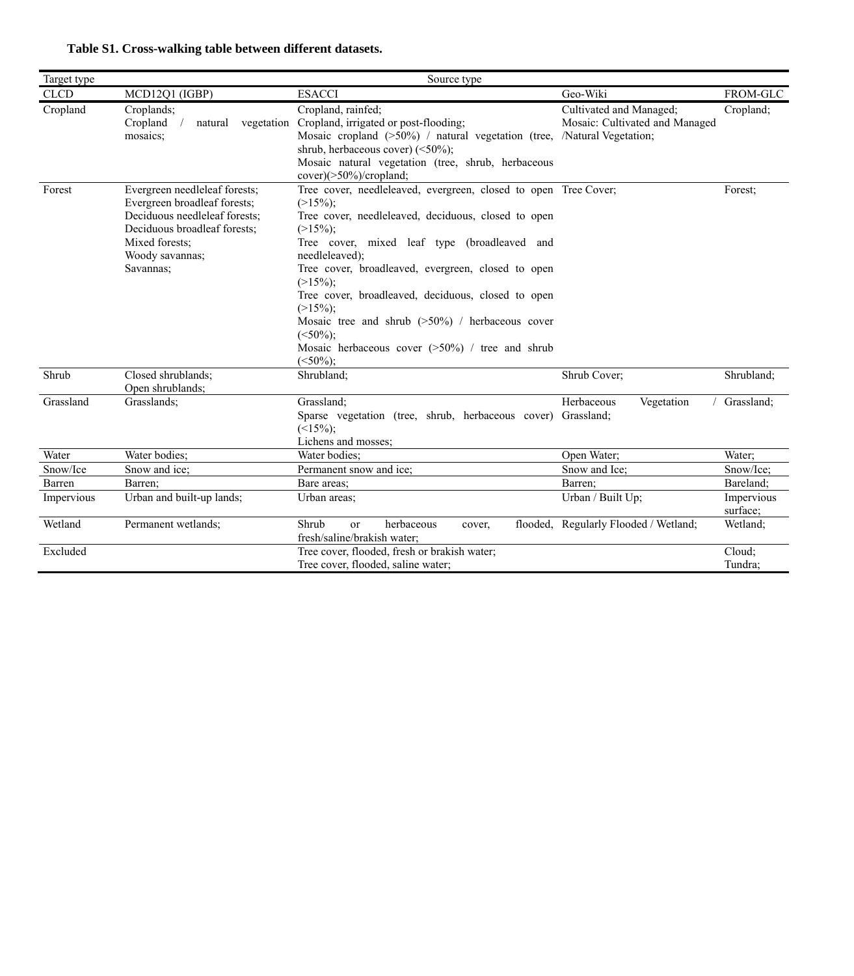|  |  | Table S1. Cross-walking table between different datasets. |  |  |  |  |
|--|--|-----------------------------------------------------------|--|--|--|--|
|--|--|-----------------------------------------------------------|--|--|--|--|

| Target type |                                                                                                                                                                                  | Source type                                                                                                                                                                                                                                                                                                                                                                                                                                                                                                |                                                           |                        |
|-------------|----------------------------------------------------------------------------------------------------------------------------------------------------------------------------------|------------------------------------------------------------------------------------------------------------------------------------------------------------------------------------------------------------------------------------------------------------------------------------------------------------------------------------------------------------------------------------------------------------------------------------------------------------------------------------------------------------|-----------------------------------------------------------|------------------------|
| <b>CLCD</b> | MCD12Q1 (IGBP)                                                                                                                                                                   | <b>ESACCI</b>                                                                                                                                                                                                                                                                                                                                                                                                                                                                                              | Geo-Wiki                                                  | FROM-GLC               |
| Cropland    | Croplands;<br>Cropland<br>vegetation<br>natural<br>mosaics:                                                                                                                      | Cropland, rainfed;<br>Cropland, irrigated or post-flooding;<br>Mosaic cropland (>50%) / natural vegetation (tree, /Natural Vegetation;<br>shrub, herbaceous cover) $(\leq 50\%)$ ;<br>Mosaic natural vegetation (tree, shrub, herbaceous<br>$cover)(>50\%)/cropland;$                                                                                                                                                                                                                                      | Cultivated and Managed;<br>Mosaic: Cultivated and Managed | Cropland;              |
| Forest      | Evergreen needleleaf forests;<br>Evergreen broadleaf forests;<br>Deciduous needleleaf forests:<br>Deciduous broadleaf forests:<br>Mixed forests:<br>Woody savannas;<br>Savannas; | Tree cover, needleleaved, evergreen, closed to open Tree Cover;<br>$(>15\%)$ ;<br>Tree cover, needleleaved, deciduous, closed to open<br>$(>15\%)$ ;<br>Tree cover, mixed leaf type (broadleaved and<br>needleleaved);<br>Tree cover, broadleaved, evergreen, closed to open<br>$(>15\%)$ ;<br>Tree cover, broadleaved, deciduous, closed to open<br>$(>15\%)$ ;<br>Mosaic tree and shrub $(>50\%)$ / herbaceous cover<br>$(<50\%)$ ;<br>Mosaic herbaceous cover $(>50\%)$ / tree and shrub<br>$(<50\%)$ ; |                                                           | Forest:                |
| Shrub       | Closed shrublands:<br>Open shrublands;                                                                                                                                           | Shrubland;                                                                                                                                                                                                                                                                                                                                                                                                                                                                                                 | Shrub Cover;                                              | Shrubland;             |
| Grassland   | Grasslands:                                                                                                                                                                      | Grassland:<br>Sparse vegetation (tree, shrub, herbaceous cover) Grassland;<br>$(<15\%)$ ;<br>Lichens and mosses;                                                                                                                                                                                                                                                                                                                                                                                           | Herbaceous<br>Vegetation                                  | Grassland:             |
| Water       | Water bodies:                                                                                                                                                                    | Water bodies:                                                                                                                                                                                                                                                                                                                                                                                                                                                                                              | Open Water;                                               | Water;                 |
| Snow/Ice    | Snow and ice;                                                                                                                                                                    | Permanent snow and ice;                                                                                                                                                                                                                                                                                                                                                                                                                                                                                    | Snow and Ice:                                             | Snow/Ice;              |
| Barren      | Barren;                                                                                                                                                                          | Bare areas:                                                                                                                                                                                                                                                                                                                                                                                                                                                                                                | Barren:                                                   | Bareland:              |
| Impervious  | Urban and built-up lands;                                                                                                                                                        | Urban areas;                                                                                                                                                                                                                                                                                                                                                                                                                                                                                               | Urban / Built Up;                                         | Impervious<br>surface; |
| Wetland     | Permanent wetlands;                                                                                                                                                              | herbaceous<br>Shrub<br><sub>or</sub><br>cover,<br>fresh/saline/brakish water:                                                                                                                                                                                                                                                                                                                                                                                                                              | flooded, Regularly Flooded / Wetland;                     | Wetland:               |
| Excluded    |                                                                                                                                                                                  | Tree cover, flooded, fresh or brakish water;<br>Tree cover, flooded, saline water;                                                                                                                                                                                                                                                                                                                                                                                                                         |                                                           | Cloud:<br>Tundra;      |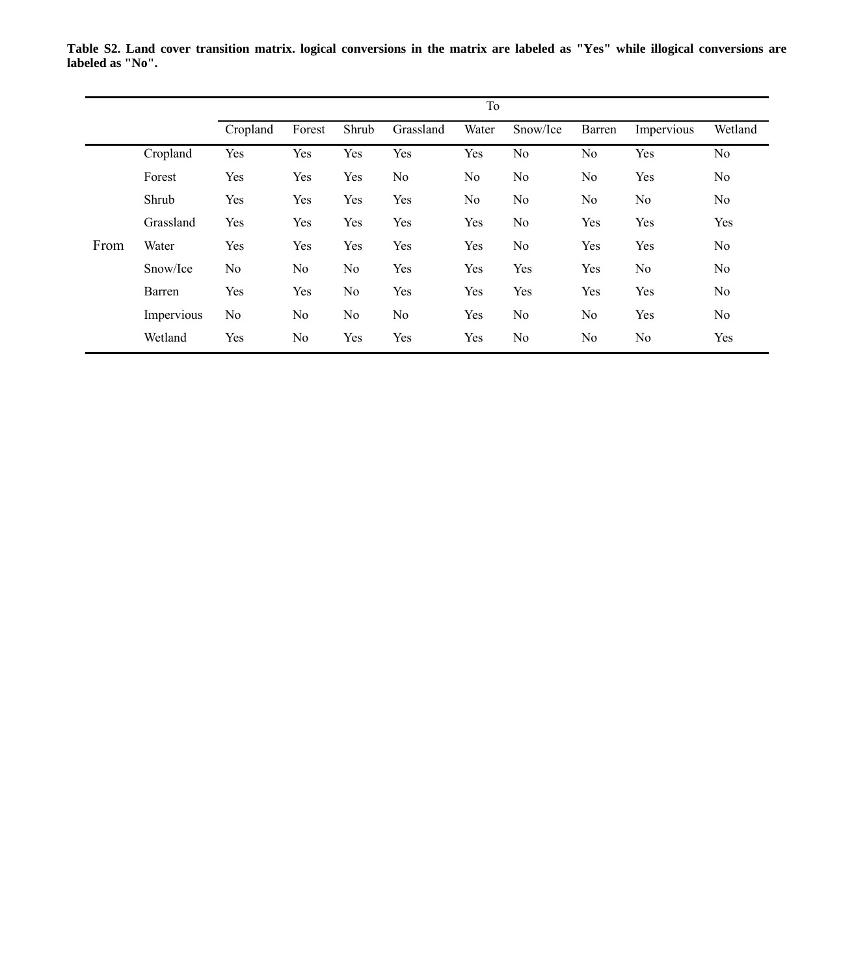|      |            |          | To     |       |           |       |          |                |            |         |  |  |  |
|------|------------|----------|--------|-------|-----------|-------|----------|----------------|------------|---------|--|--|--|
|      |            | Cropland | Forest | Shrub | Grassland | Water | Snow/Ice | Barren         | Impervious | Wetland |  |  |  |
|      | Cropland   | Yes      | Yes    | Yes   | Yes       | Yes   | No       | N <sub>o</sub> | Yes        | No      |  |  |  |
|      | Forest     | Yes      | Yes    | Yes   | No        | No    | No       | No             | Yes        | No      |  |  |  |
|      | Shrub      | Yes      | Yes    | Yes   | Yes       | No    | No       | No             | No         | No      |  |  |  |
|      | Grassland  | Yes      | Yes    | Yes   | Yes       | Yes   | No       | Yes            | Yes        | Yes     |  |  |  |
| From | Water      | Yes      | Yes    | Yes   | Yes       | Yes   | No       | Yes            | Yes        | No      |  |  |  |
|      | Snow/Ice   | No       | No     | No    | Yes       | Yes   | Yes      | Yes            | No         | No      |  |  |  |
|      | Barren     | Yes      | Yes    | No    | Yes       | Yes   | Yes      | Yes            | Yes        | No      |  |  |  |
|      | Impervious | No       | No     | No    | No        | Yes   | No       | No             | Yes        | No      |  |  |  |
|      | Wetland    | Yes      | No     | Yes   | Yes       | Yes   | No       | No             | No         | Yes     |  |  |  |

**Table S2. Land cover transition matrix. logical conversions in the matrix are labeled as "Yes" while illogical conversions are labeled as "No".**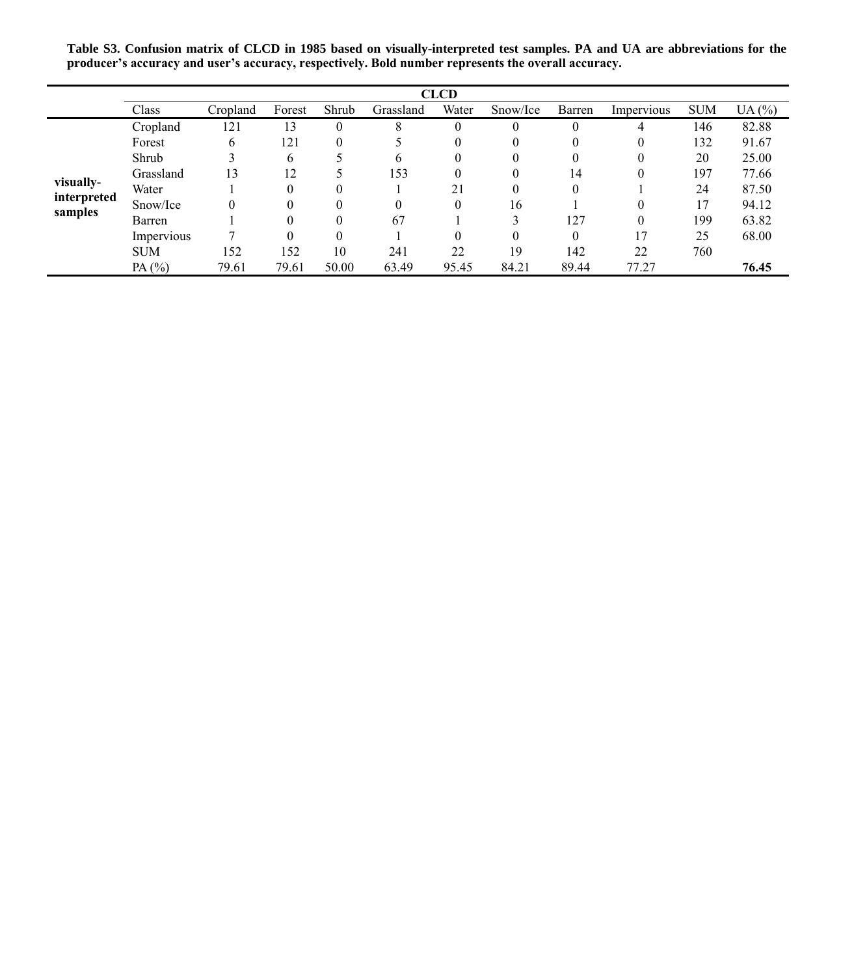**Table S3. Confusion matrix of CLCD in 1985 based on visually-interpreted test samples. PA and UA are abbreviations for the producer's accuracy and user's accuracy, respectively. Bold number represents the overall accuracy.**

|             |            |          |          |       |           | <b>CLCD</b> |          |          |            |            |       |
|-------------|------------|----------|----------|-------|-----------|-------------|----------|----------|------------|------------|-------|
|             | Class      | Cropland | Forest   | Shrub | Grassland | Water       | Snow/Ice | Barren   | Impervious | <b>SUM</b> | UA(%) |
|             | Cropland   | 121      | 13       |       | 8         | $\theta$    |          |          | 4          | 146        | 82.88 |
|             | Forest     | 6        | 121      |       |           | $\theta$    |          |          | 0          | 132        | 91.67 |
|             | Shrub      |          | 6        |       | h         | $\theta$    |          |          |            | 20         | 25.00 |
|             | Grassland  | 13       | 12       |       | 153       | 0           |          | 14       |            | 197        | 77.66 |
| visually-   | Water      |          | $\theta$ |       |           | 21          |          | $\Omega$ |            | 24         | 87.50 |
| interpreted | Snow/Ice   |          | $\Omega$ |       | 0         | $\Omega$    | 16       |          |            | 17         | 94.12 |
| samples     | Barren     |          |          |       | 67        |             |          | 127      |            | 199        | 63.82 |
|             | Impervious |          | $\Omega$ |       |           |             |          |          | 17         | 25         | 68.00 |
|             | <b>SUM</b> | 152      | 152      | 10    | 241       | 22          | 19       | 142      | 22         | 760        |       |
|             | PA $(%)$   | 79.61    | 79.61    | 50.00 | 63.49     | 95.45       | 84.21    | 89.44    | 77.27      |            | 76.45 |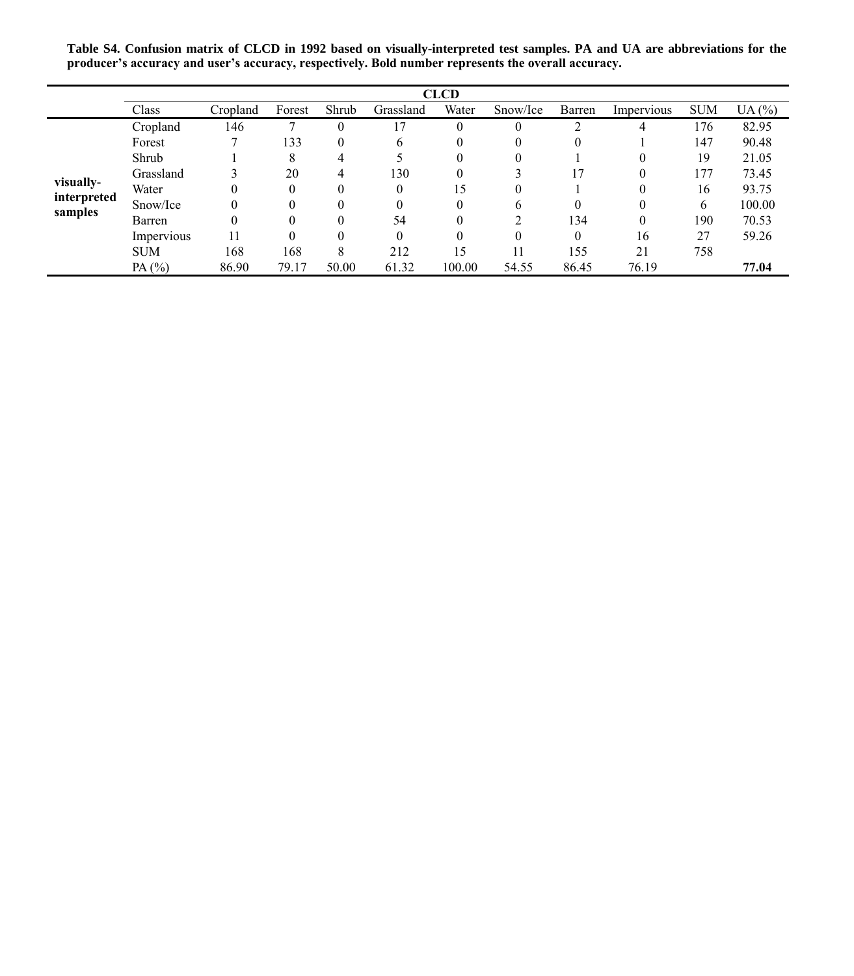**Table S4. Confusion matrix of CLCD in 1992 based on visually-interpreted test samples. PA and UA are abbreviations for the producer's accuracy and user's accuracy, respectively. Bold number represents the overall accuracy.**

|             |            |          |        |          |              | <b>CLCD</b> |          |          |            |            |        |
|-------------|------------|----------|--------|----------|--------------|-------------|----------|----------|------------|------------|--------|
|             | Class      | Cropland | Forest | Shrub    | Grassland    | Water       | Snow/Ice | Barren   | Impervious | <b>SUM</b> | UA(%)  |
|             | Cropland   | 146      |        | $\Omega$ | 17           | 0           |          | ◠        | 4          | 176        | 82.95  |
|             | Forest     |          | 133    | $\theta$ | <sub>0</sub> |             |          | $\theta$ |            | 147        | 90.48  |
|             | Shrub      |          | 8      |          |              | $_{0}$      |          |          | 0          | 19         | 21.05  |
|             | Grassland  |          | 20     | 4        | 130          |             |          |          | 0          | 177        | 73.45  |
| visually-   | Water      |          |        |          | $\Omega$     | 15          |          |          | 0          | 16         | 93.75  |
| interpreted | Snow/Ice   |          |        |          |              | $\Omega$    | h        | $\Omega$ | $_{0}$     | 6          | 100.00 |
| samples     | Barren     |          |        |          | 54           |             |          | 134      | 0          | 190        | 70.53  |
|             | Impervious | 11       |        |          | $\Omega$     |             |          | $\Omega$ | 16         | 27         | 59.26  |
|             | <b>SUM</b> | 168      | 168    | 8        | 212          | 15          | 11       | 155      | 21         | 758        |        |
|             | PA $(%)$   | 86.90    | 79.17  | 50.00    | 61.32        | 100.00      | 54.55    | 86.45    | 76.19      |            | 77.04  |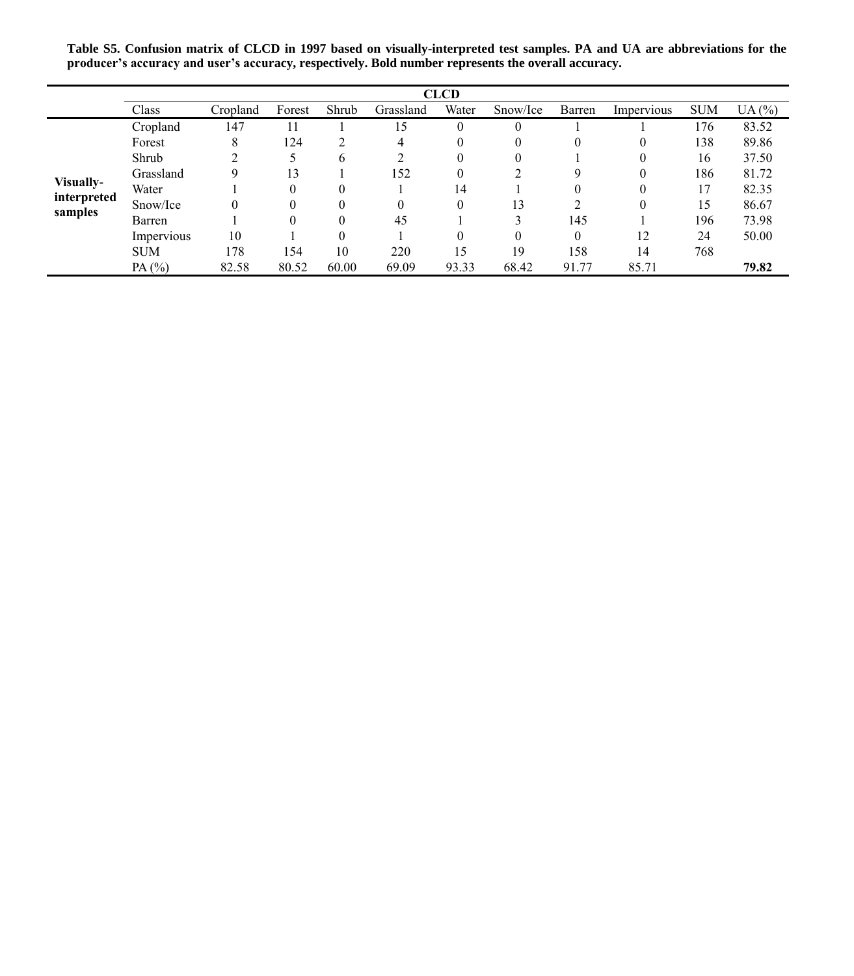**Table S5. Confusion matrix of CLCD in 1997 based on visually-interpreted test samples. PA and UA are abbreviations for the producer's accuracy and user's accuracy, respectively. Bold number represents the overall accuracy.**

|                  |            |          |        |       |           | <b>CLCD</b> |          |          |            |            |       |
|------------------|------------|----------|--------|-------|-----------|-------------|----------|----------|------------|------------|-------|
|                  | Class      | Cropland | Forest | Shrub | Grassland | Water       | Snow/Ice | Barren   | Impervious | <b>SUM</b> | UA(%) |
|                  | Cropland   | 147      |        |       | 15        | $\theta$    | $\theta$ |          |            | 176        | 83.52 |
|                  | Forest     | 8        | 124    |       | 4         | $\theta$    | 0        | $\theta$ | 0          | 138        | 89.86 |
|                  | Shrub      |          |        | 6     |           | $\theta$    | 0        |          | 0          | 16         | 37.50 |
|                  | Grassland  |          | 13     |       | 152       | $\theta$    |          | 9        | 0          | 186        | 81.72 |
| <b>Visually-</b> | Water      |          | 0      |       |           | 14          |          | $\Omega$ | 0          | 17         | 82.35 |
| interpreted      | Snow/Ice   | 0        |        |       |           | $\Omega$    | 13       |          | 0          | 15         | 86.67 |
| samples          | Barren     |          |        |       | 45        |             |          | 145      |            | 196        | 73.98 |
|                  | Impervious | 10       |        |       |           | $\Omega$    | $\Omega$ | $\Omega$ | 12         | 24         | 50.00 |
|                  | <b>SUM</b> | 178      | 154    | 10    | 220       | 15          | 19       | 158      | 14         | 768        |       |
|                  | PA $(%)$   | 82.58    | 80.52  | 60.00 | 69.09     | 93.33       | 68.42    | 91.77    | 85.71      |            | 79.82 |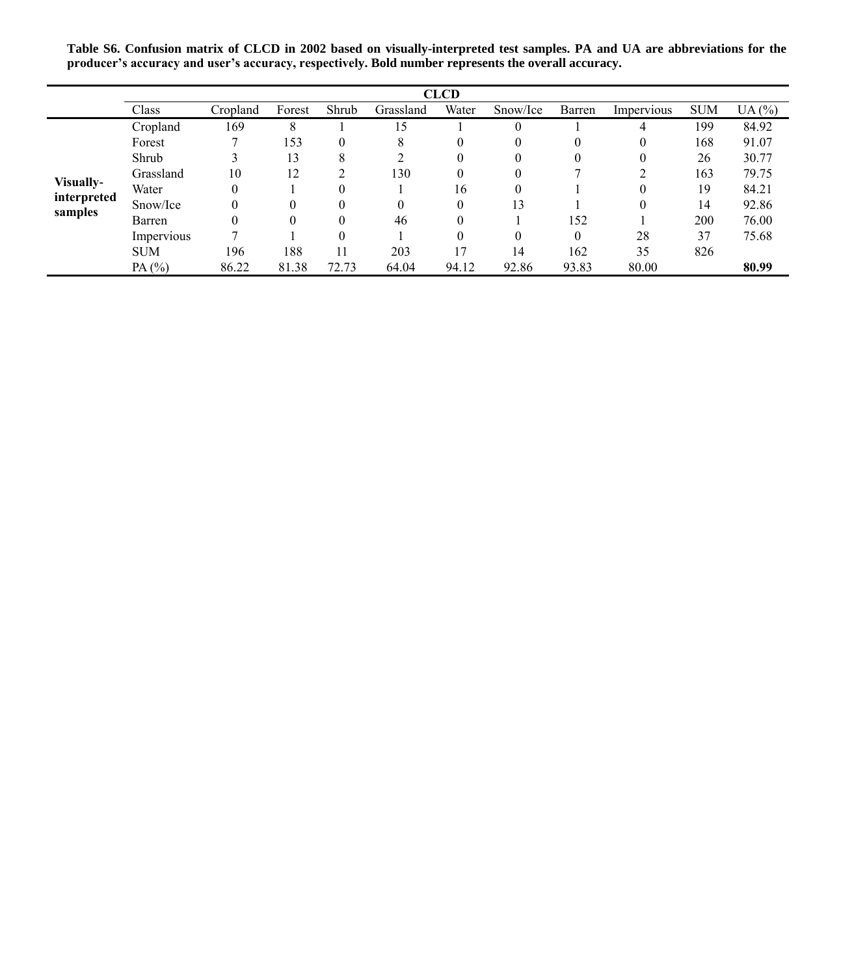**Table S6. Confusion matrix of CLCD in 2002 based on visually-interpreted test samples. PA and UA are abbreviations for the producer's accuracy and user's accuracy, respectively. Bold number represents the overall accuracy.**

|             |            |          |        |       |           | <b>CLCD</b> |          |          |            |            |       |
|-------------|------------|----------|--------|-------|-----------|-------------|----------|----------|------------|------------|-------|
|             | Class      | Cropland | Forest | Shrub | Grassland | Water       | Snow/Ice | Barren   | Impervious | <b>SUM</b> | UA(%) |
|             | Cropland   | 169      | 8      |       | 15        |             | $\Omega$ |          | 4          | 199        | 84.92 |
|             | Forest     |          | 153    |       | 8         | 0           | $_{0}$   | 0        | 0          | 168        | 91.07 |
|             | Shrub      |          | 13     | Δ.    |           | 0           | $\theta$ | $\theta$ | 0          | 26         | 30.77 |
|             | Grassland  | 10       | 12     |       | 130       | 0           | 0        |          |            | 163        | 79.75 |
| Visually-   | Water      |          |        |       |           | 16          | 0        |          | 0          | 19         | 84.21 |
| interpreted | Snow/Ice   |          |        |       | 0         | $\theta$    | 13       |          | 0          | 14         | 92.86 |
| samples     | Barren     |          |        |       | 46        | 0           |          | 152      |            | 200        | 76.00 |
|             | Impervious |          |        |       |           | 0           |          | $\theta$ | 28         | 37         | 75.68 |
|             | <b>SUM</b> | 196      | 188    |       | 203       | 17          | 14       | 162      | 35         | 826        |       |
|             | PA $(%)$   | 86.22    | 81.38  | 72.73 | 64.04     | 94.12       | 92.86    | 93.83    | 80.00      |            | 80.99 |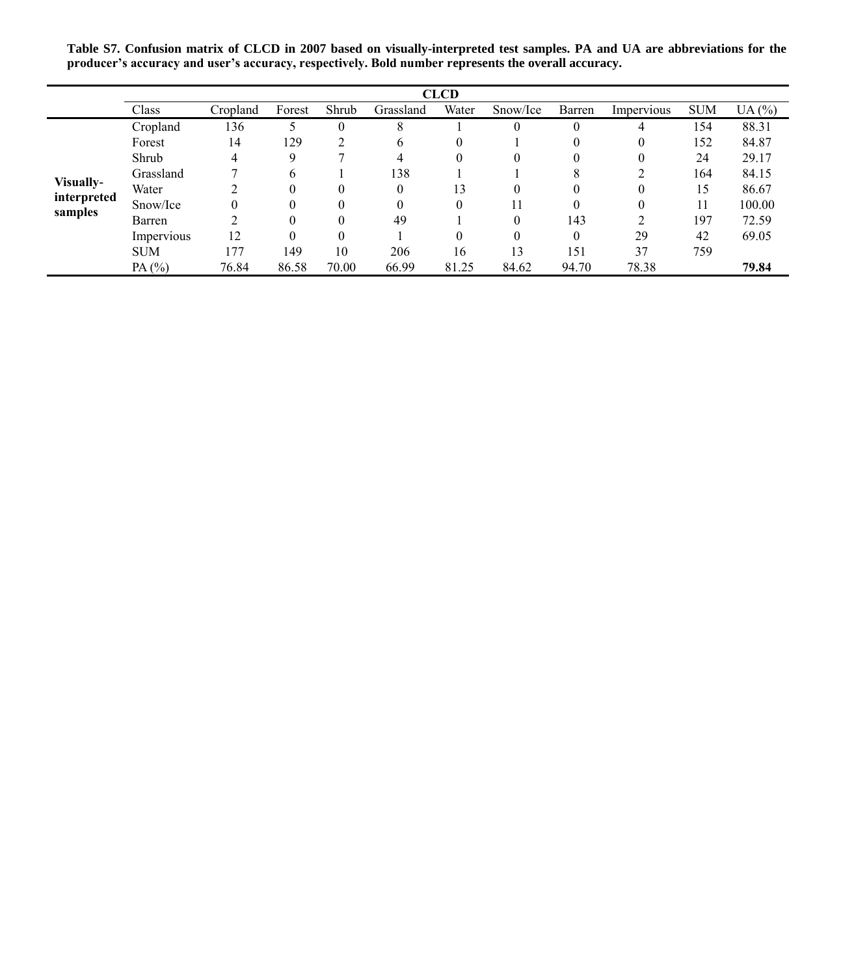**Table S7. Confusion matrix of CLCD in 2007 based on visually-interpreted test samples. PA and UA are abbreviations for the producer's accuracy and user's accuracy, respectively. Bold number represents the overall accuracy.**

|             |            |          |        |       |              | <b>CLCD</b> |          |        |            |            |        |
|-------------|------------|----------|--------|-------|--------------|-------------|----------|--------|------------|------------|--------|
|             | Class      | Cropland | Forest | Shrub | Grassland    | Water       | Snow/Ice | Barren | Impervious | <b>SUM</b> | UA(%)  |
|             | Cropland   | 136      |        | 0     | 8            |             | 0        |        | 4          | 154        | 88.31  |
|             | Forest     | 14       | 129    |       | <sub>0</sub> | 0           |          |        | 0          | 152        | 84.87  |
|             | Shrub      | 4        | 9      |       | 4            |             | 0        | 0      | 0          | 24         | 29.17  |
|             | Grassland  |          | 6      |       | 138          |             |          | 8      |            | 164        | 84.15  |
| Visually-   | Water      |          |        |       | $\theta$     | 13          | 0        | 0      | 0          | 15         | 86.67  |
| interpreted | Snow/Ice   |          |        |       | $\Omega$     | $\Omega$    |          | 0      | 0          | 11         | 100.00 |
| samples     | Barren     |          |        |       | 49           |             | 0        | 143    | 2          | 197        | 72.59  |
|             | Impervious | 12       |        |       |              |             | $\Omega$ | 0      | 29         | 42         | 69.05  |
|             | <b>SUM</b> | 177      | 149    | 10    | 206          | 16          | 13       | 151    | 37         | 759        |        |
|             | PA $(%)$   | 76.84    | 86.58  | 70.00 | 66.99        | 81.25       | 84.62    | 94.70  | 78.38      |            | 79.84  |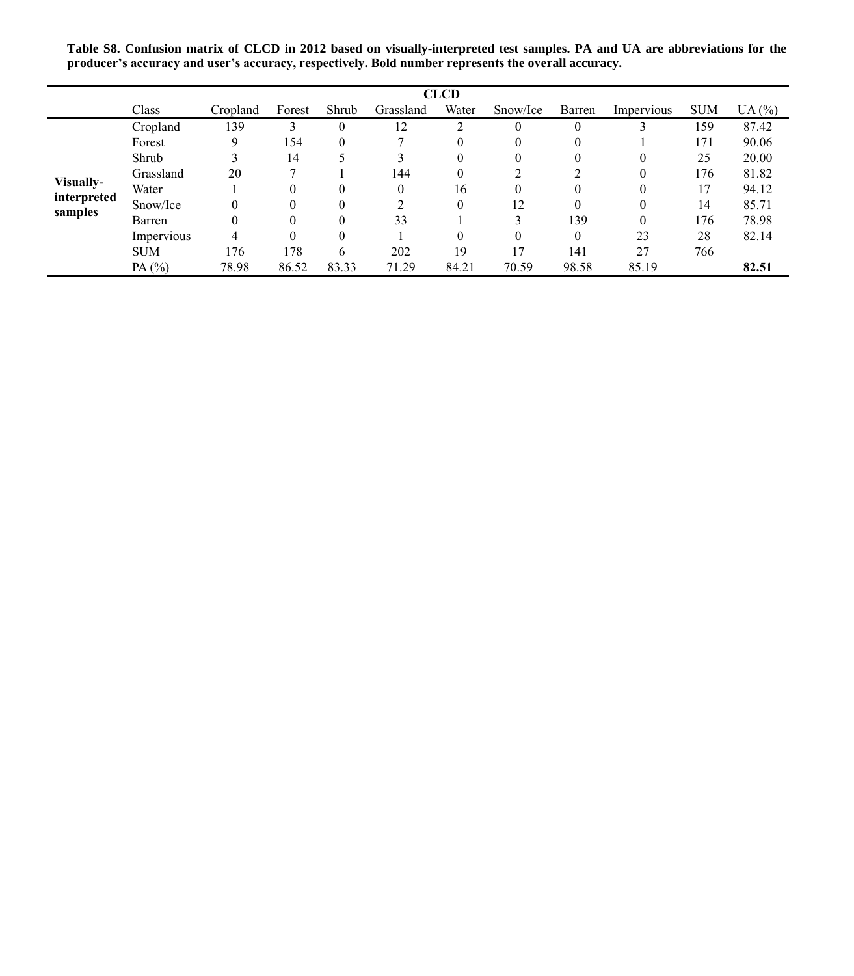**Table S8. Confusion matrix of CLCD in 2012 based on visually-interpreted test samples. PA and UA are abbreviations for the producer's accuracy and user's accuracy, respectively. Bold number represents the overall accuracy.**

|                        |            |          |        |       |           | <b>CLCD</b> |          |          |            |            |       |
|------------------------|------------|----------|--------|-------|-----------|-------------|----------|----------|------------|------------|-------|
|                        | Class      | Cropland | Forest | Shrub | Grassland | Water       | Snow/Ice | Barren   | Impervious | <b>SUM</b> | UA(%) |
|                        | Cropland   | 139      |        |       | 12        | ◠           | 0        | $\theta$ |            | 159        | 87.42 |
|                        | Forest     |          | 154    |       |           | 0           |          | $\theta$ |            | 171        | 90.06 |
|                        | Shrub      |          | 14     |       |           | 0           |          | $\theta$ | 0          | 25         | 20.00 |
|                        | Grassland  | 20       |        |       | 144       |             |          |          | 0          | 176        | 81.82 |
| Visually-              | Water      |          |        |       |           | 16          |          | 0        |            | 17         | 94.12 |
| interpreted<br>samples | Snow/Ice   |          |        |       |           | $\theta$    | 12       | $\Omega$ |            | 14         | 85.71 |
|                        | Barren     |          |        |       | 33        |             |          | 139      | 0          | 176        | 78.98 |
|                        | Impervious | 4        |        |       |           |             |          | $\Omega$ | 23         | 28         | 82.14 |
|                        | <b>SUM</b> | 176      | 178    | 6     | 202       | 19          | 17       | 141      | 27         | 766        |       |
|                        | PA $(%)$   | 78.98    | 86.52  | 83.33 | 71.29     | 84.21       | 70.59    | 98.58    | 85.19      |            | 82.51 |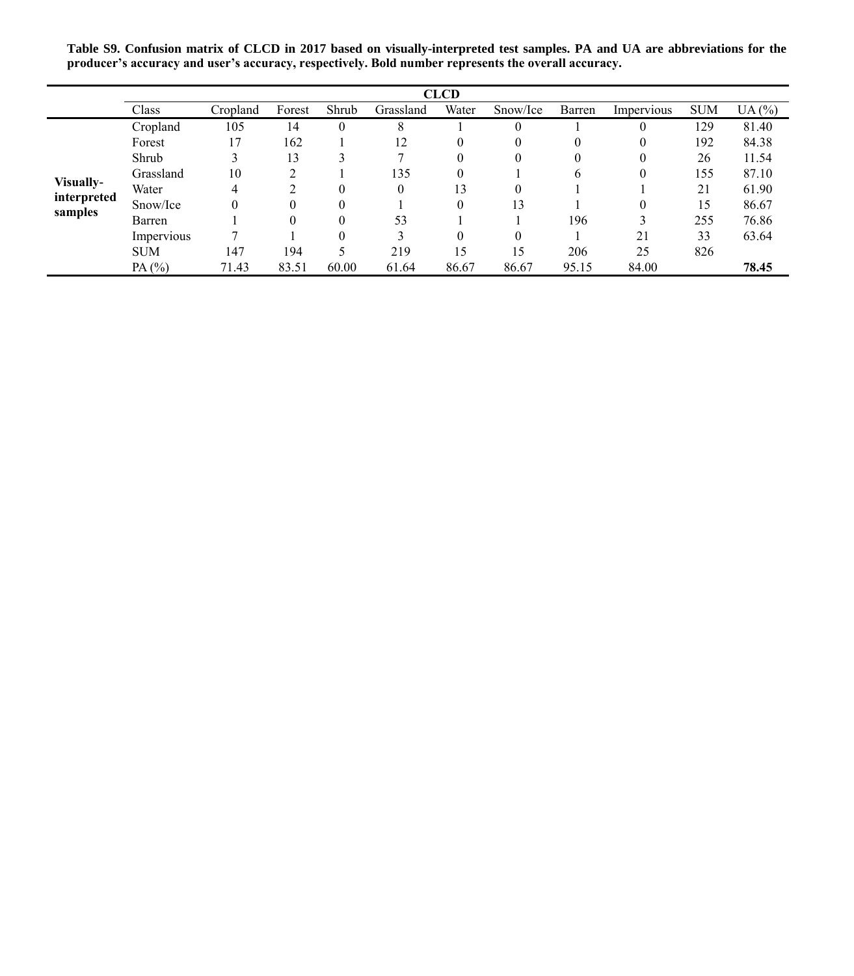|                        |            |          |               |          |              | <b>CLCD</b> |          |        |            |            |       |
|------------------------|------------|----------|---------------|----------|--------------|-------------|----------|--------|------------|------------|-------|
|                        | Class      | Cropland | Forest        | Shrub    | Grassland    | Water       | Snow/Ice | Barren | Impervious | <b>SUM</b> | UA(%) |
|                        | Cropland   | 105      | 14            | $\theta$ | 8            |             |          |        |            | 129        | 81.40 |
|                        | Forest     | 17       | 162           |          | 12           | 0           |          | 0      | 0          | 192        | 84.38 |
|                        | Shrub      |          | 13            |          |              | 0           |          | 0      | 0          | 26         | 11.54 |
|                        | Grassland  | 10       | $\mathcal{L}$ |          | 135          | $\theta$    |          | 6      | 0          | 155        | 87.10 |
| Visually-              | Water      | 4        | $\mathcal{L}$ | $\Omega$ | $\mathbf{0}$ | 13          | $\Omega$ |        |            | 21         | 61.90 |
| interpreted<br>samples | Snow/Ice   | 0        | $\Omega$      | $\Omega$ |              | $\theta$    | 13       |        | 0          | 15         | 86.67 |
|                        | Barren     |          | $\Omega$      | $\Omega$ | 53           |             |          | 196    | 3          | 255        | 76.86 |
|                        | Impervious |          |               | $\Omega$ | 3            | 0           | $\Omega$ |        | 21         | 33         | 63.64 |
|                        | <b>SUM</b> | 147      | 194           | 5        | 219          | 15          | 15       | 206    | 25         | 826        |       |
|                        | PA $(%)$   | 71.43    | 83.51         | 60.00    | 61.64        | 86.67       | 86.67    | 95.15  | 84.00      |            | 78.45 |

**Table S9. Confusion matrix of CLCD in 2017 based on visually-interpreted test samples. PA and UA are abbreviations for the producer's accuracy and user's accuracy, respectively. Bold number represents the overall accuracy.**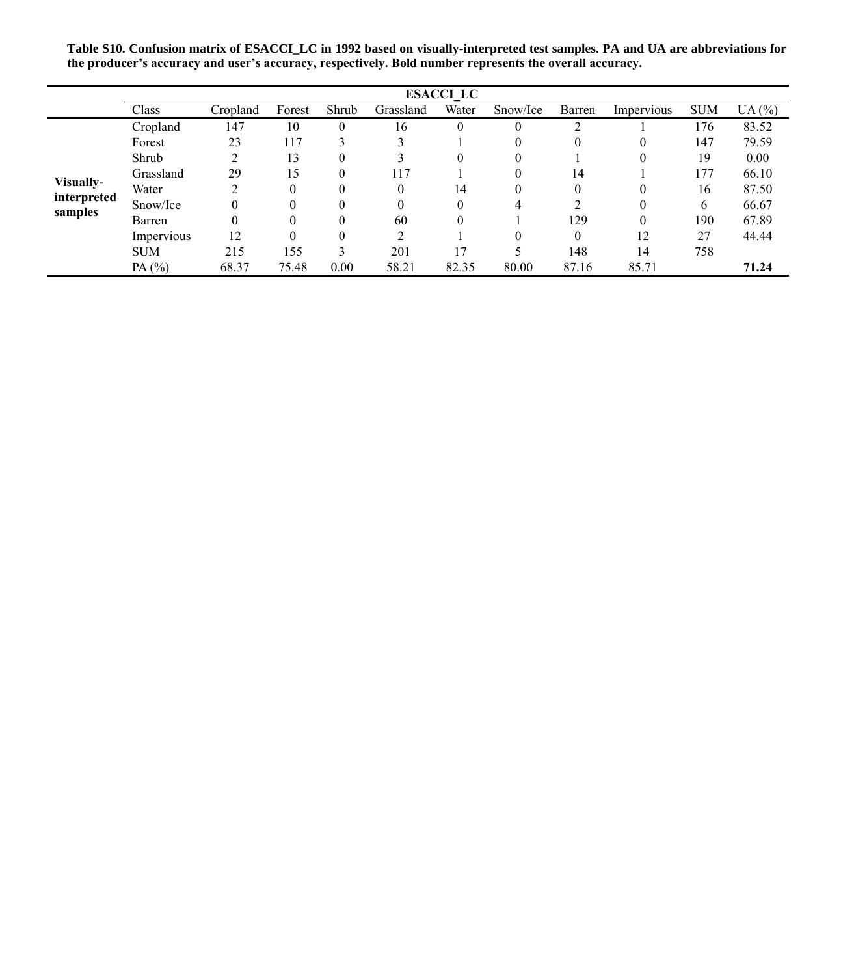**Table S10. Confusion matrix of ESACCI\_LC in 1992 based on visually-interpreted test samples. PA and UA are abbreviations for the producer's accuracy and user's accuracy, respectively. Bold number represents the overall accuracy.**

|                        |            |          |        |       |           | <b>ESACCI LC</b> |          |          |            |            |       |
|------------------------|------------|----------|--------|-------|-----------|------------------|----------|----------|------------|------------|-------|
|                        | Class      | Cropland | Forest | Shrub | Grassland | Water            | Snow/Ice | Barren   | Impervious | <b>SUM</b> | UA(%) |
|                        | Cropland   | 147      | 10     |       | 16        | $\theta$         | $\theta$ |          |            | 176        | 83.52 |
|                        | Forest     | 23       | 117    |       |           |                  |          | $\theta$ | O          | 147        | 79.59 |
|                        | Shrub      |          | 13     |       |           | $\theta$         | $_{0}$   |          |            | 19         | 0.00  |
|                        | Grassland  | 29       | 15     |       | 117       |                  |          | 14       |            | 177        | 66.10 |
| Visually-              | Water      |          |        |       |           | 14               |          | $\Omega$ |            | 16         | 87.50 |
| interpreted<br>samples | Snow/Ice   |          |        |       |           | $\theta$         | 4        |          | 0          | 6          | 66.67 |
|                        | Barren     |          |        |       | 60        | $\theta$         |          | 129      | 0          | 190        | 67.89 |
|                        | Impervious | 12       |        |       |           |                  |          | $\Omega$ | 12         | 27         | 44.44 |
|                        | <b>SUM</b> | 215      | 155    |       | 201       |                  |          | 148      | 14         | 758        |       |
|                        | PA $(%)$   | 68.37    | 75.48  | 0.00  | 58.21     | 82.35            | 80.00    | 87.16    | 85.71      |            | 71.24 |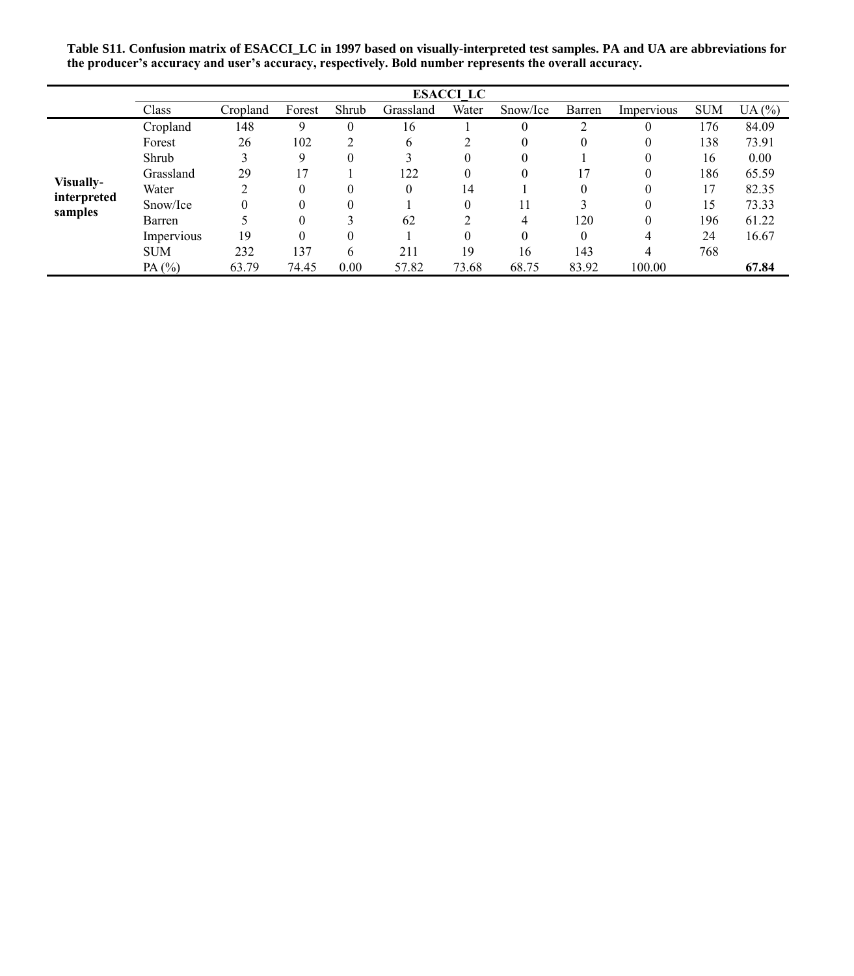**Table S11. Confusion matrix of ESACCI\_LC in 1997 based on visually-interpreted test samples. PA and UA are abbreviations for the producer's accuracy and user's accuracy, respectively. Bold number represents the overall accuracy.**

|                        |            |          |        |          |              | <b>ESACCI LC</b> |          |          |            |            |       |
|------------------------|------------|----------|--------|----------|--------------|------------------|----------|----------|------------|------------|-------|
|                        | Class      | Cropland | Forest | Shrub    | Grassland    | Water            | Snow/Ice | Barren   | Impervious | <b>SUM</b> | UA(%) |
|                        | Cropland   | 148      | 9      | $\theta$ | 16           |                  | $\theta$ |          | $\theta$   | 176        | 84.09 |
|                        | Forest     | 26       | 102    |          | <sub>b</sub> |                  | 0        |          | $\theta$   | 138        | 73.91 |
|                        | Shrub      |          | 9      | $\theta$ |              | 0                | $\theta$ |          |            | 16         | 0.00  |
|                        | Grassland  | 29       |        |          | 122          |                  | $\theta$ |          | $\Omega$   | 186        | 65.59 |
| Visually-              | Water      | ↑        |        | $\theta$ | $\theta$     | 14               |          | $\Omega$ |            | 17         | 82.35 |
| interpreted<br>samples | Snow/Ice   | 0        |        | $\theta$ |              | 0                | 11       |          |            | 15         | 73.33 |
|                        | Barren     |          |        |          | 62           |                  | 4        | 120      | $\theta$   | 196        | 61.22 |
|                        | Impervious | 19       |        | 0        |              |                  | $\theta$ | 0        | 4          | 24         | 16.67 |
|                        | <b>SUM</b> | 232      | 137    | 6        | 211          | 19               | 16       | 143      | 4          | 768        |       |
|                        | PA $(%)$   | 63.79    | 74.45  | 0.00     | 57.82        | 73.68            | 68.75    | 83.92    | 100.00     |            | 67.84 |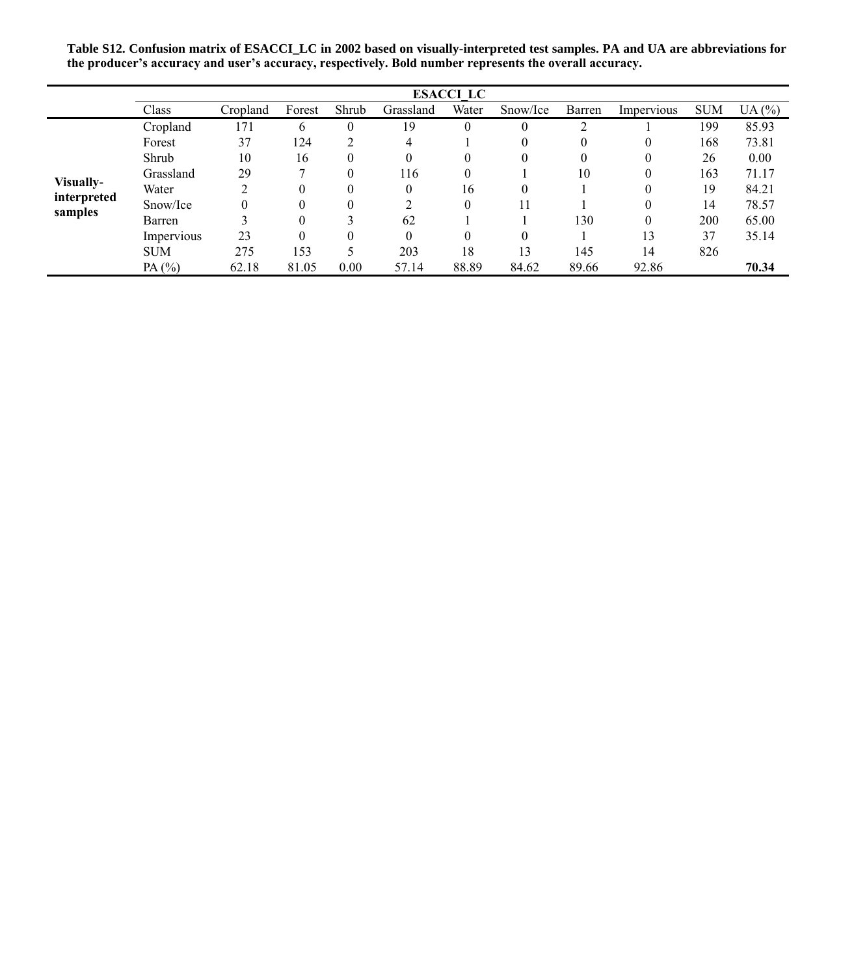**Table S12. Confusion matrix of ESACCI\_LC in 2002 based on visually-interpreted test samples. PA and UA are abbreviations for the producer's accuracy and user's accuracy, respectively. Bold number represents the overall accuracy.**

|                        | <b>ESACCI LC</b> |          |        |          |           |          |          |          |            |            |       |  |  |
|------------------------|------------------|----------|--------|----------|-----------|----------|----------|----------|------------|------------|-------|--|--|
|                        | Class            | Cropland | Forest | Shrub    | Grassland | Water    | Snow/Ice | Barren   | Impervious | <b>SUM</b> | UA(%) |  |  |
|                        | Cropland         | 171      | 6      | 0        | 19        | 0        | $\theta$ |          |            | 199        | 85.93 |  |  |
|                        | Forest           | 37       | 124    | 2        | 4         |          | $\theta$ | 0        | $\theta$   | 168        | 73.81 |  |  |
|                        | Shrub            | 10       | 16     | $\theta$ | $\theta$  |          | 0        | $\Omega$ | $\theta$   | 26         | 0.00  |  |  |
|                        | Grassland        | 29       |        | $\theta$ | 116       | 0        |          | 10       | $\theta$   | 163        | 71.17 |  |  |
| Visually-              | Water            | C        |        | $\theta$ | $\Omega$  | 16       | $\theta$ |          |            | 19         | 84.21 |  |  |
| interpreted<br>samples | Snow/Ice         | 0        |        | $\theta$ | ↑         | $\theta$ | 11       |          |            | 14         | 78.57 |  |  |
|                        | Barren           |          |        |          | 62        |          |          | 130      | $\theta$   | 200        | 65.00 |  |  |
|                        | Impervious       | 23       |        | $\theta$ | $\Omega$  |          | $\theta$ |          | 13         | 37         | 35.14 |  |  |
|                        | <b>SUM</b>       | 275      | 153    | 5        | 203       | 18       | 13       | 145      | 14         | 826        |       |  |  |
|                        | PA $(%)$         | 62.18    | 81.05  | 0.00     | 57.14     | 88.89    | 84.62    | 89.66    | 92.86      |            | 70.34 |  |  |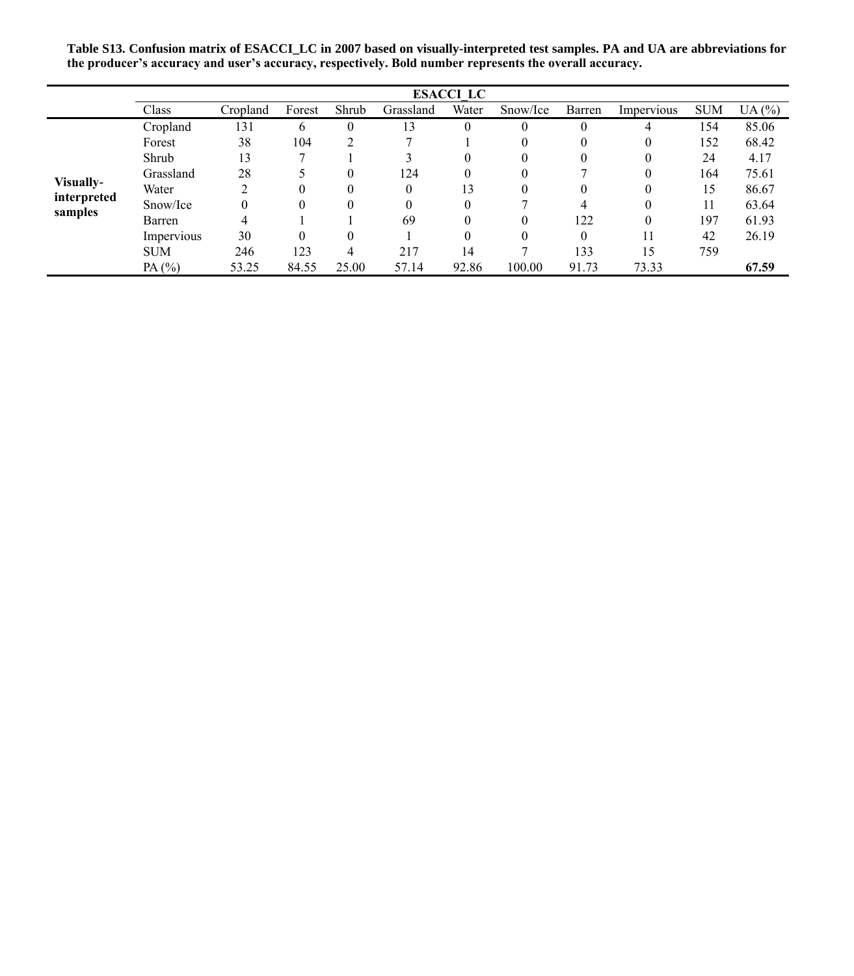**Table S13. Confusion matrix of ESACCI\_LC in 2007 based on visually-interpreted test samples. PA and UA are abbreviations for the producer's accuracy and user's accuracy, respectively. Bold number represents the overall accuracy.**

|                        | <b>ESACCI LC</b> |          |        |          |           |          |          |          |            |            |       |  |  |
|------------------------|------------------|----------|--------|----------|-----------|----------|----------|----------|------------|------------|-------|--|--|
|                        | Class            | Cropland | Forest | Shrub    | Grassland | Water    | Snow/Ice | Barren   | Impervious | <b>SUM</b> | UA(%) |  |  |
|                        | Cropland         | 131      | 6      | $\Omega$ | 13        | $\theta$ | $\theta$ | 0        | 4          | 154        | 85.06 |  |  |
|                        | Forest           | 38       | 104    |          |           |          | 0        | 0        | 0          | 152        | 68.42 |  |  |
|                        | Shrub            | 13       |        |          |           | $\theta$ | 0        | 0        |            | 24         | 4.17  |  |  |
|                        | Grassland        | 28       |        | $\theta$ | 124       | 0        | $\theta$ |          |            | 164        | 75.61 |  |  |
| Visually-              | Water            | ↑        |        | $\theta$ | $\Omega$  | 13       | $\theta$ | $\Omega$ |            | 15         | 86.67 |  |  |
| interpreted<br>samples | Snow/Ice         | 0        |        | $\Omega$ | $\theta$  | $\Omega$ |          |          |            |            | 63.64 |  |  |
|                        | Barren           | 4        |        |          | 69        | $\theta$ | $\theta$ | 122      |            | 197        | 61.93 |  |  |
|                        | Impervious       | 30       |        | $\theta$ |           | $\theta$ | $\theta$ | $\theta$ | 11         | 42         | 26.19 |  |  |
|                        | <b>SUM</b>       | 246      | 123    | 4        | 217       | 14       |          | 133      | 15         | 759        |       |  |  |
|                        | PA $(%)$         | 53.25    | 84.55  | 25.00    | 57.14     | 92.86    | 100.00   | 91.73    | 73.33      |            | 67.59 |  |  |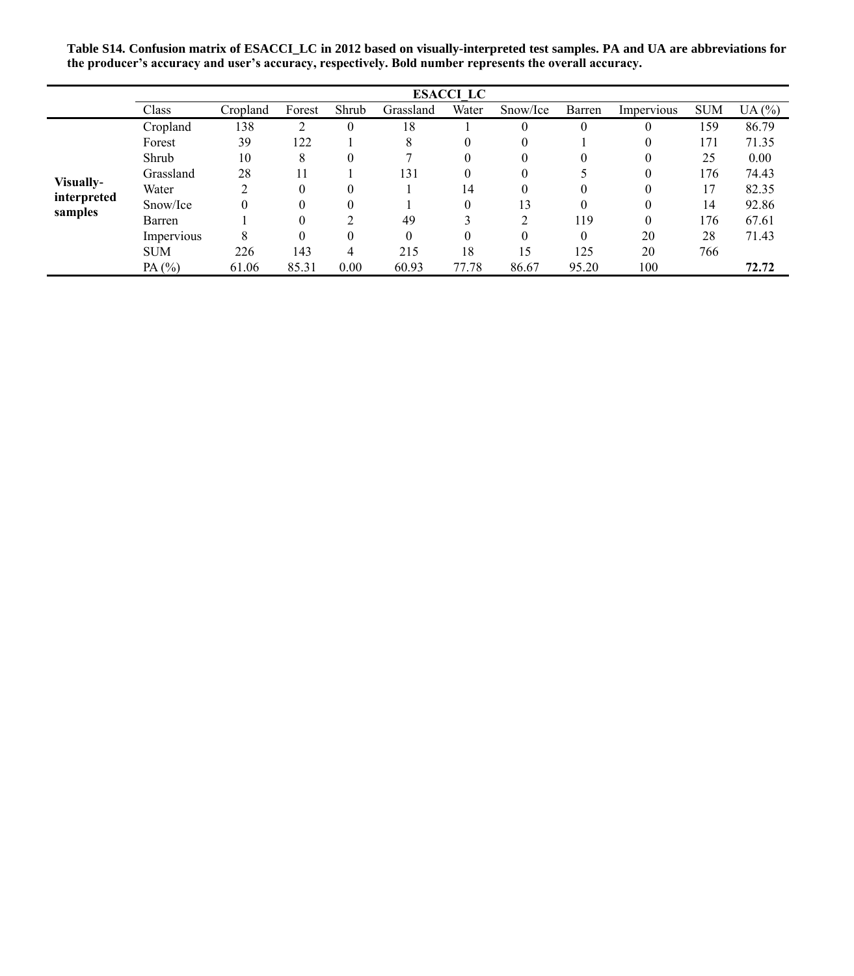**Table S14. Confusion matrix of ESACCI\_LC in 2012 based on visually-interpreted test samples. PA and UA are abbreviations for the producer's accuracy and user's accuracy, respectively. Bold number represents the overall accuracy.**

|                        | <b>ESACCI LC</b> |          |        |          |           |          |          |          |            |            |       |  |  |
|------------------------|------------------|----------|--------|----------|-----------|----------|----------|----------|------------|------------|-------|--|--|
|                        | Class            | Cropland | Forest | Shrub    | Grassland | Water    | Snow/Ice | Barren   | Impervious | <b>SUM</b> | UA(%) |  |  |
|                        | Cropland         | 138      |        | $\Omega$ | 18        |          | $\theta$ | 0        | $\theta$   | 159        | 86.79 |  |  |
|                        | Forest           | 39       | 122    |          | 8         | $\theta$ | 0        |          | 0          | 171        | 71.35 |  |  |
|                        | Shrub            | 10       | 8      | $\theta$ |           | $\theta$ | 0        | $\theta$ | 0          | 25         | 0.00  |  |  |
|                        | Grassland        | 28       |        |          | 131       | 0        | $\theta$ |          |            | 176        | 74.43 |  |  |
| Visually-              | Water            | ↑        |        | $\theta$ |           | 14       | $\theta$ | $\Omega$ |            | 17         | 82.35 |  |  |
| interpreted<br>samples | Snow/Ice         | 0        |        | $\theta$ |           | $\Omega$ | 13       | $\Omega$ |            | 14         | 92.86 |  |  |
|                        | Barren           |          |        | ◠        | 49        |          | ↑        | 119      |            | 176        | 67.61 |  |  |
|                        | Impervious       | 8        |        | $\Omega$ | $\Omega$  | $\Omega$ | 0        | $\Omega$ | 20         | 28         | 71.43 |  |  |
|                        | <b>SUM</b>       | 226      | 143    | 4        | 215       | 18       | 15       | 125      | 20         | 766        |       |  |  |
|                        | PA(%)            | 61.06    | 85.31  | 0.00     | 60.93     | 77.78    | 86.67    | 95.20    | 100        |            | 72.72 |  |  |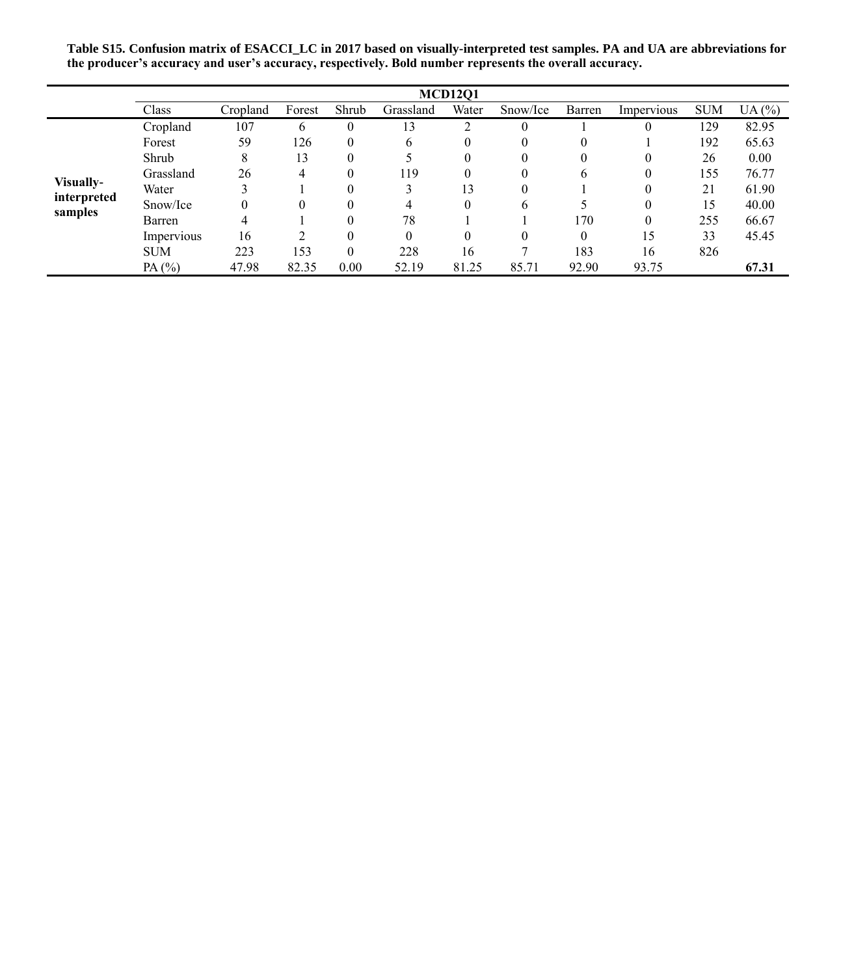**Table S15. Confusion matrix of ESACCI\_LC in 2017 based on visually-interpreted test samples. PA and UA are abbreviations for the producer's accuracy and user's accuracy, respectively. Bold number represents the overall accuracy.**

|                        | <b>MCD1201</b> |          |        |          |              |                |              |          |            |            |       |  |  |
|------------------------|----------------|----------|--------|----------|--------------|----------------|--------------|----------|------------|------------|-------|--|--|
|                        | Class          | Cropland | Forest | Shrub    | Grassland    | Water          | Snow/Ice     | Barren   | Impervious | <b>SUM</b> | UA(%) |  |  |
|                        | Cropland       | 107      | 6      | $\theta$ | 13           | $\overline{c}$ | $\theta$     |          |            | 129        | 82.95 |  |  |
|                        | Forest         | 59       | 126    | $\Omega$ | <sub>b</sub> | 0              | 0            |          |            | 192        | 65.63 |  |  |
|                        | Shrub          | 8        | 13     | $\Omega$ |              | 0              | 0            |          |            | 26         | 0.00  |  |  |
|                        | Grassland      | 26       | 4      | $\Omega$ | 119          | 0              | 0            | 6        |            | 155        | 76.77 |  |  |
| Visually-              | Water          |          |        | $\Omega$ |              | 13             | 0            |          |            | 21         | 61.90 |  |  |
| interpreted<br>samples | Snow/Ice       |          |        | $\Omega$ | 4            | $\Omega$       | <sub>b</sub> |          |            | 15         | 40.00 |  |  |
|                        | Barren         | 4        |        | $\Omega$ | 78           |                |              | 170      |            | 255        | 66.67 |  |  |
|                        | Impervious     | 16       |        | $\theta$ | $\Omega$     |                | 0            | $\theta$ | 15         | 33         | 45.45 |  |  |
|                        | <b>SUM</b>     | 223      | 153    | $\theta$ | 228          | 16             |              | 183      | 16         | 826        |       |  |  |
|                        | PA (%)         | 47.98    | 82.35  | 0.00     | 52.19        | 81.25          | 85.71        | 92.90    | 93.75      |            | 67.31 |  |  |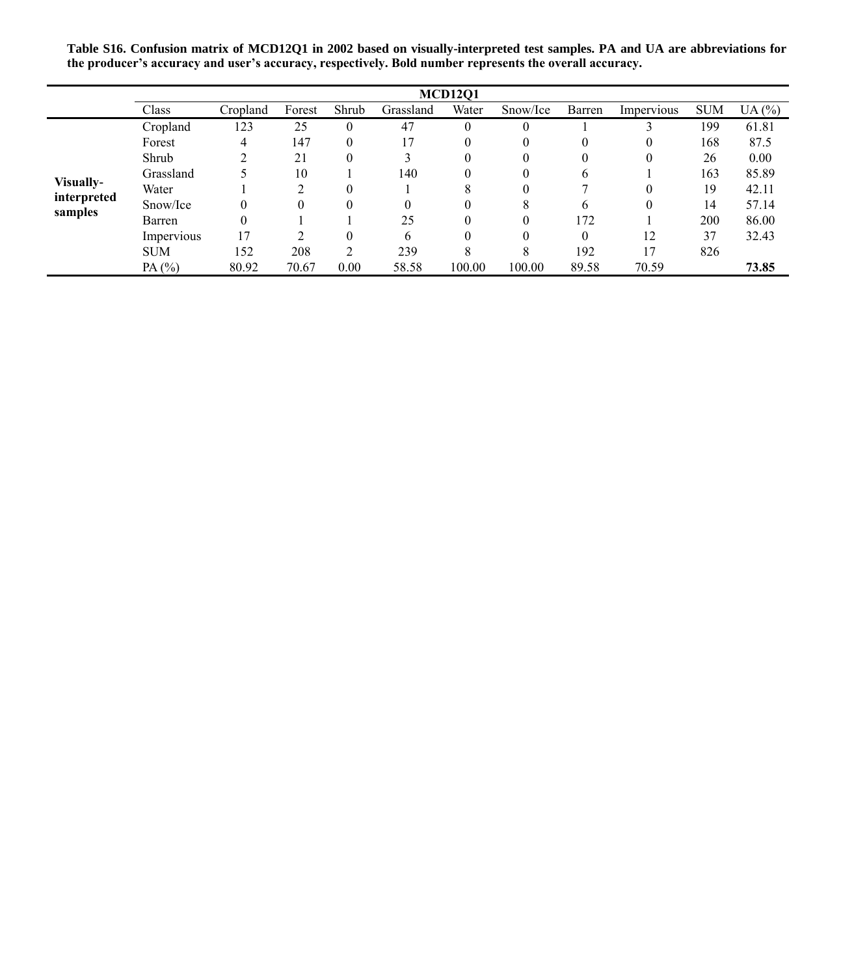**Table S16. Confusion matrix of MCD12Q1 in 2002 based on visually-interpreted test samples. PA and UA are abbreviations for the producer's accuracy and user's accuracy, respectively. Bold number represents the overall accuracy.**

|                        |            |          |        |          |           | <b>MCD1201</b> |          |              |            |            |       |
|------------------------|------------|----------|--------|----------|-----------|----------------|----------|--------------|------------|------------|-------|
|                        | Class      | Cropland | Forest | Shrub    | Grassland | Water          | Snow/Ice | Barren       | Impervious | <b>SUM</b> | UA(%) |
|                        | Cropland   | 123      | 25     | $\theta$ | 47        | 0              | $\theta$ |              |            | 199        | 61.81 |
|                        | Forest     | 4        | 147    | 0        | 17        | $\theta$       | $_{0}$   | $\theta$     | $\theta$   | 168        | 87.5  |
|                        | Shrub      |          | 21     | $\Omega$ |           | $\theta$       | O        | 0            | $\theta$   | 26         | 0.00  |
|                        | Grassland  |          | 10     |          | 140       | $\theta$       | $\theta$ | 6            |            | 163        | 85.89 |
| Visually-              | Water      |          |        | $\Omega$ |           | 8              | 0        |              | $\Omega$   | 19         | 42.11 |
| interpreted<br>samples | Snow/Ice   | 0        |        | $\Omega$ |           |                |          | <sub>b</sub> | $\theta$   | 14         | 57.14 |
|                        | Barren     | $\theta$ |        |          | 25        |                | $\theta$ | 172          |            | 200        | 86.00 |
|                        | Impervious | l 7      |        | 0        | 6         |                | 0        | $\theta$     | 12         | 37         | 32.43 |
|                        | <b>SUM</b> | 152      | 208    | ↑        | 239       | 8              | 8        | 192          | 17         | 826        |       |
|                        | PA $(%)$   | 80.92    | 70.67  | 0.00     | 58.58     | 100.00         | 100.00   | 89.58        | 70.59      |            | 73.85 |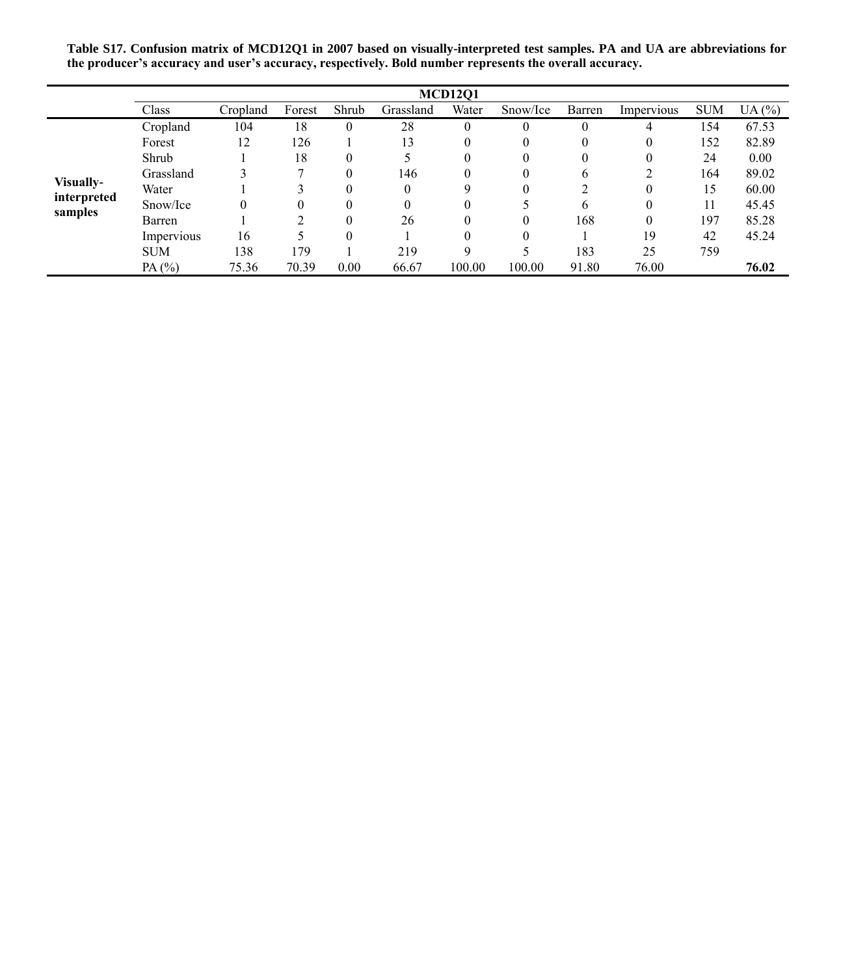**Table S17. Confusion matrix of MCD12Q1 in 2007 based on visually-interpreted test samples. PA and UA are abbreviations for the producer's accuracy and user's accuracy, respectively. Bold number represents the overall accuracy.**

|                        |            |          |        |          |           | <b>MCD1201</b> |          |          |            |            |       |
|------------------------|------------|----------|--------|----------|-----------|----------------|----------|----------|------------|------------|-------|
|                        | Class      | Cropland | Forest | Shrub    | Grassland | Water          | Snow/Ice | Barren   | Impervious | <b>SUM</b> | UA(%) |
|                        | Cropland   | 104      | 18     | $\theta$ | 28        | $\theta$       | $\theta$ | $\theta$ | 4          | 154        | 67.53 |
|                        | Forest     | 12       | 126    |          | 13        | 0              | $\theta$ | 0        | 0          | 152        | 82.89 |
|                        | Shrub      |          | 18     | $\theta$ |           | 0              | $\theta$ | 0        | 0          | 24         | 0.00  |
|                        | Grassland  |          |        | $\theta$ | 146       | 0              | $\Omega$ | 6        |            | 164        | 89.02 |
| Visually-              | Water      |          |        | $\theta$ | $\Omega$  | 9              | $\Omega$ | C        | 0          | 15         | 60.00 |
| interpreted<br>samples | Snow/Ice   |          | 0      | $\theta$ | $\theta$  | 0              |          | 6        | 0          |            | 45.45 |
|                        | Barren     |          |        | $\theta$ | 26        | 0              | $\theta$ | 168      | 0          | 197        | 85.28 |
|                        | Impervious | 16       |        | $\Omega$ |           | 0              |          |          | 19         | 42         | 45.24 |
|                        | <b>SUM</b> | 138      | 179    |          | 219       | q              |          | 183      | 25         | 759        |       |
|                        | PA $(%)$   | 75.36    | 70.39  | 0.00     | 66.67     | 100.00         | 100.00   | 91.80    | 76.00      |            | 76.02 |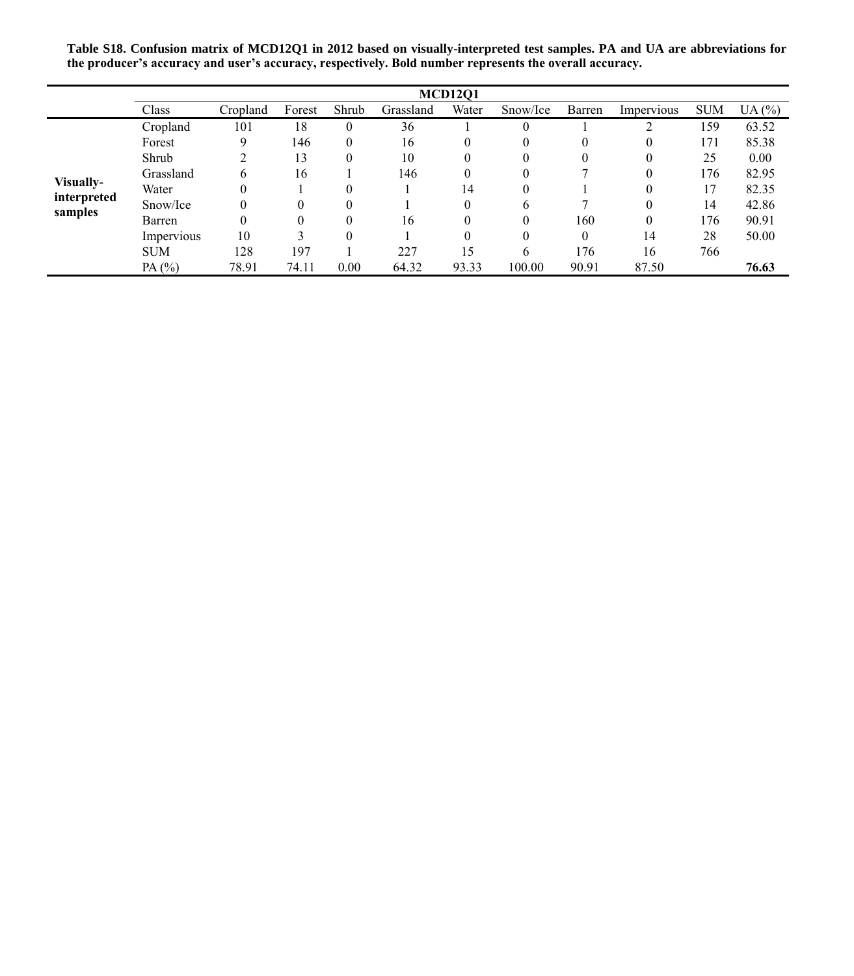**Table S18. Confusion matrix of MCD12Q1 in 2012 based on visually-interpreted test samples. PA and UA are abbreviations for the producer's accuracy and user's accuracy, respectively. Bold number represents the overall accuracy.**

|                        |            |          |          |          |           | <b>MCD1201</b> |          |          |            |            |       |
|------------------------|------------|----------|----------|----------|-----------|----------------|----------|----------|------------|------------|-------|
|                        | Class      | Cropland | Forest   | Shrub    | Grassland | Water          | Snow/Ice | Barren   | Impervious | <b>SUM</b> | UA(%) |
|                        | Cropland   | 101      | 18       | 0        | 36        |                | $\theta$ |          |            | 159        | 63.52 |
|                        | Forest     | 9        | 146      | $\Omega$ | 16        |                | $\theta$ | 0        | $\theta$   | 171        | 85.38 |
|                        | Shrub      |          | 13       | $\theta$ | 10        |                | $\theta$ | 0        | $\theta$   | 25         | 0.00  |
|                        | Grassland  | 6        | 16       |          | 146       | 0              | 0        |          | $\theta$   | 176        | 82.95 |
| Visually-              | Water      | 0        |          | $\Omega$ |           | 14             | 0        |          | $\Omega$   | 17         | 82.35 |
| interpreted<br>samples | Snow/Ice   | 0        | $\theta$ | $\Omega$ |           | $\theta$       | b        |          | $\Omega$   | 14         | 42.86 |
|                        | Barren     | 0        | $\theta$ | $\Omega$ | 16        |                | $\theta$ | 160      | $\theta$   | 176        | 90.91 |
|                        | Impervious | 10       |          | $\Omega$ |           |                | $\theta$ | $\Omega$ | 14         | 28         | 50.00 |
|                        | <b>SUM</b> | 128      | 197      |          | 227       | 15             | 6        | 176      | 16         | 766        |       |
|                        | PA $(%)$   | 78.91    | 74.11    | 0.00     | 64.32     | 93.33          | 100.00   | 90.91    | 87.50      |            | 76.63 |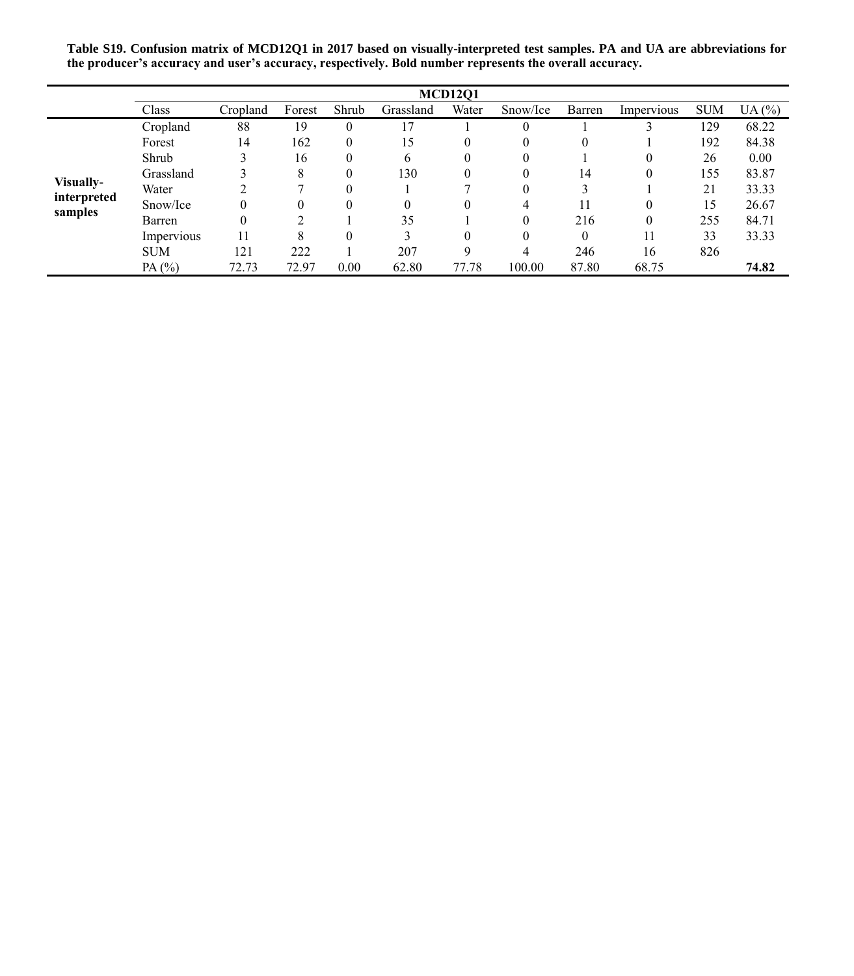**Table S19. Confusion matrix of MCD12Q1 in 2017 based on visually-interpreted test samples. PA and UA are abbreviations for the producer's accuracy and user's accuracy, respectively. Bold number represents the overall accuracy.**

|                        | <b>MCD1201</b> |          |        |          |           |       |          |          |            |            |          |  |
|------------------------|----------------|----------|--------|----------|-----------|-------|----------|----------|------------|------------|----------|--|
|                        | Class          | Cropland | Forest | Shrub    | Grassland | Water | Snow/Ice | Barren   | Impervious | <b>SUM</b> | UA $(%)$ |  |
|                        | Cropland       | 88       | 19     | $\theta$ | 17        |       | $\Omega$ |          |            | 129        | 68.22    |  |
|                        | Forest         | 14       | 162    | $\theta$ | 15        |       | $\theta$ | 0        |            | 192        | 84.38    |  |
|                        | Shrub          |          | 16     | $\theta$ | 6         |       | $\theta$ |          | $\theta$   | 26         | 0.00     |  |
|                        | Grassland      |          | 8      | $\theta$ | 130       |       | $\theta$ | 14       | $\theta$   | 155        | 83.87    |  |
| Visually-              | Water          |          |        | $\Omega$ |           |       | $\theta$ |          |            | 21         | 33.33    |  |
| interpreted<br>samples | Snow/Ice       | 0        | 0      | $\Omega$ | 0         |       | 4        | 11       | $\theta$   | 15         | 26.67    |  |
|                        | Barren         | 0        | ◠      |          | 35        |       | $\theta$ | 216      | $\theta$   | 255        | 84.71    |  |
|                        | Impervious     | 11       | 8      | $\Omega$ | 3         |       | $\theta$ | $\theta$ | 11         | 33         | 33.33    |  |
|                        | <b>SUM</b>     | 121      | 222    |          | 207       | Q     | 4        | 246      | 16         | 826        |          |  |
|                        | PA $(%)$       | 72.73    | 72.97  | 0.00     | 62.80     | 77.78 | 100.00   | 87.80    | 68.75      |            | 74.82    |  |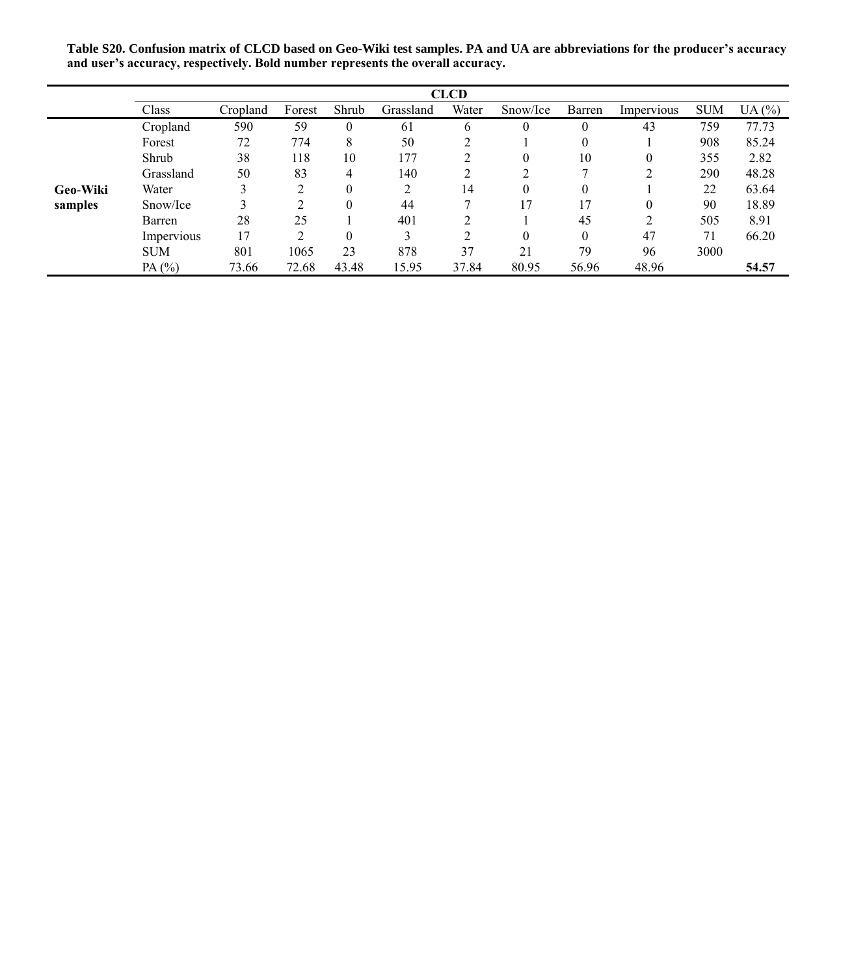**Table S20. Confusion matrix of CLCD based on Geo-Wiki test samples. PA and UA are abbreviations for the producer's accuracy and user's accuracy, respectively. Bold number represents the overall accuracy.**

|                 | <b>CLCD</b> |          |        |          |           |       |          |          |            |            |       |  |  |
|-----------------|-------------|----------|--------|----------|-----------|-------|----------|----------|------------|------------|-------|--|--|
|                 | Class       | Cropland | Forest | Shrub    | Grassland | Water | Snow/Ice | Barren   | Impervious | <b>SUM</b> | UA(%) |  |  |
|                 | Cropland    | 590      | 59     | $\theta$ | 61        | 6     | $\theta$ | $\theta$ | 43         | 759        | 77.73 |  |  |
|                 | Forest      | 72       | 774    | 8        | 50        |       |          | $\theta$ |            | 908        | 85.24 |  |  |
|                 | Shrub       | 38       | 118    | 10       | 177       |       | $\theta$ | 10       | 0          | 355        | 2.82  |  |  |
|                 | Grassland   | 50       | 83     | 4        | 140       |       | っ        |          |            | 290        | 48.28 |  |  |
| <b>Geo-Wiki</b> | Water       | 3        |        | $\theta$ | 2         | 14    | $\theta$ | $\theta$ |            | 22         | 63.64 |  |  |
| samples         | Snow/Ice    |          |        | $\theta$ | 44        |       | 17       | 17       | 0          | 90         | 18.89 |  |  |
|                 | Barren      | 28       | 25     |          | 401       |       |          | 45       | ↑          | 505        | 8.91  |  |  |
|                 | Impervious  | 17       | ↑      | $\theta$ | 3         | ∍     | $\theta$ | $\Omega$ | 47         | 71         | 66.20 |  |  |
|                 | <b>SUM</b>  | 801      | 1065   | 23       | 878       | 37    | 21       | 79       | 96         | 3000       |       |  |  |
|                 | PA(%)       | 73.66    | 72.68  | 43.48    | 15.95     | 37.84 | 80.95    | 56.96    | 48.96      |            | 54.57 |  |  |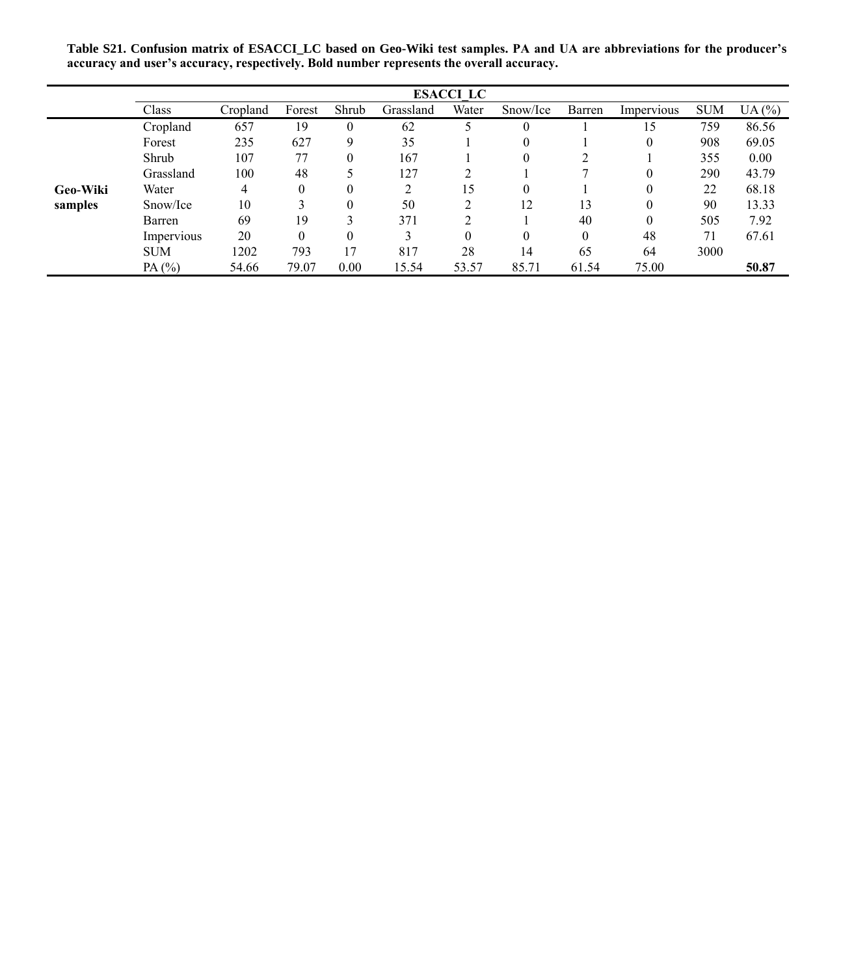**Table S21. Confusion matrix of ESACCI\_LC based on Geo-Wiki test samples. PA and UA are abbreviations for the producer's accuracy and user's accuracy, respectively. Bold number represents the overall accuracy.**

|                 | <b>ESACCI LC</b> |          |          |              |                |       |          |              |            |            |       |  |  |
|-----------------|------------------|----------|----------|--------------|----------------|-------|----------|--------------|------------|------------|-------|--|--|
|                 | Class            | Cropland | Forest   | Shrub        | Grassland      | Water | Snow/Ice | Barren       | Impervious | <b>SUM</b> | UA(%) |  |  |
|                 | Cropland         | 657      | 19       | $\Omega$     | 62             |       | $\theta$ |              | 15         | 759        | 86.56 |  |  |
|                 | Forest           | 235      | 627      | 9            | 35             |       | $\theta$ |              | 0          | 908        | 69.05 |  |  |
|                 | Shrub            | 107      | 77       | $\mathbf{0}$ | 167            |       | $\Omega$ |              |            | 355        | 0.00  |  |  |
|                 | Grassland        | 100      | 48       |              | 127            |       |          |              | $\Omega$   | 290        | 43.79 |  |  |
| <b>Geo-Wiki</b> | Water            | 4        | $\theta$ | $\Omega$     | $\overline{c}$ | 15    | $\theta$ |              |            | 22         | 68.18 |  |  |
| samples         | Snow/Ice         | 10       |          | $\theta$     | 50             | ↑     | 12       | 13           | 0          | 90         | 13.33 |  |  |
|                 | Barren           | 69       | 19       |              | 371            | ↑     |          | 40           | $\theta$   | 505        | 7.92  |  |  |
|                 | Impervious       | 20       | $\Omega$ | $\Omega$     | 3              | 0     | $\theta$ | $\mathbf{0}$ | 48         | 71         | 67.61 |  |  |
|                 | <b>SUM</b>       | 1202     | 793      | 17           | 817            | 28    | 14       | 65           | 64         | 3000       |       |  |  |
|                 | PA $(%)$         | 54.66    | 79.07    | 0.00         | 15.54          | 53.57 | 85.71    | 61.54        | 75.00      |            | 50.87 |  |  |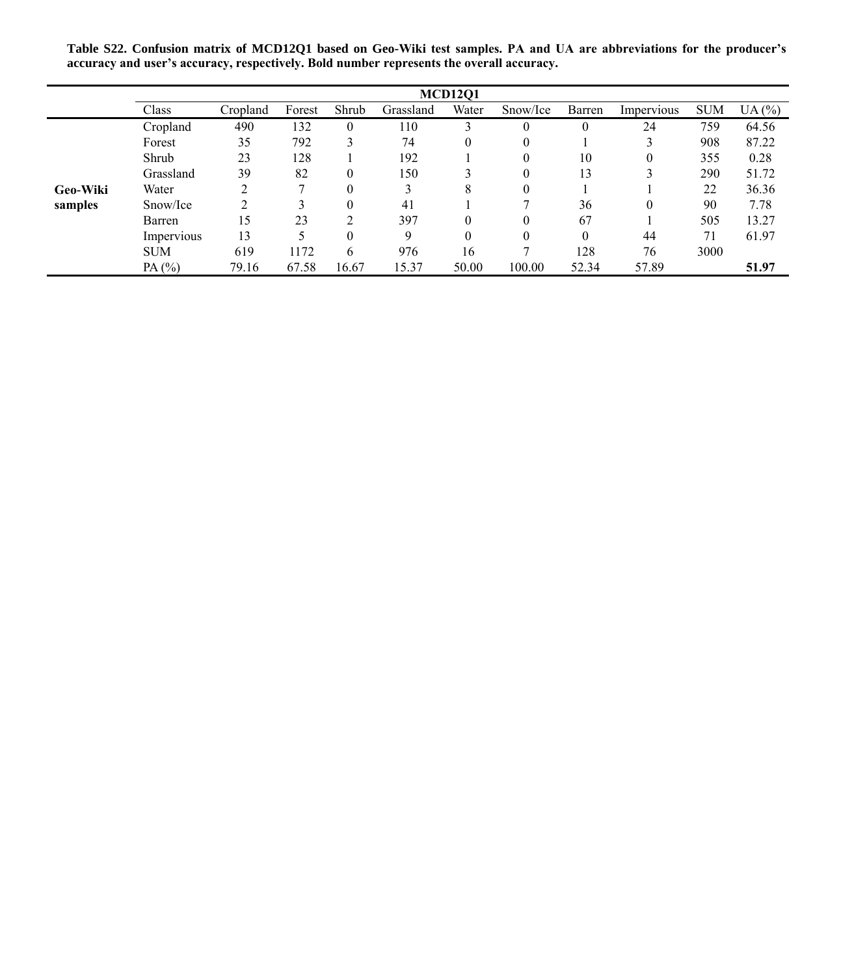**Table S22. Confusion matrix of MCD12Q1 based on Geo-Wiki test samples. PA and UA are abbreviations for the producer's accuracy and user's accuracy, respectively. Bold number represents the overall accuracy.**

|                 | <b>MCD1201</b> |          |        |              |           |          |          |              |            |            |       |  |  |
|-----------------|----------------|----------|--------|--------------|-----------|----------|----------|--------------|------------|------------|-------|--|--|
|                 | Class          | Cropland | Forest | Shrub        | Grassland | Water    | Snow/Ice | Barren       | Impervious | <b>SUM</b> | UA(%) |  |  |
|                 | Cropland       | 490      | 132    | $\mathbf{0}$ | 110       |          | $\theta$ | $\mathbf{0}$ | 24         | 759        | 64.56 |  |  |
|                 | Forest         | 35       | 792    | 3            | 74        | 0        | $\theta$ |              |            | 908        | 87.22 |  |  |
|                 | Shrub          | 23       | 128    |              | 192       |          | $\theta$ | 10           | 0          | 355        | 0.28  |  |  |
|                 | Grassland      | 39       | 82     | $\Omega$     | 150       |          | $\theta$ | 13           |            | 290        | 51.72 |  |  |
| <b>Geo-Wiki</b> | Water          | C        |        | $\theta$     | 3         | 8        |          |              |            | 22         | 36.36 |  |  |
| samples         | Snow/Ice       |          |        | $\theta$     | 41        |          |          | 36           | 0          | 90         | 7.78  |  |  |
|                 | Barren         | 15       | 23     | ↑            | 397       | 0        |          | 67           |            | 505        | 13.27 |  |  |
|                 | Impervious     | 13       |        | $\Omega$     | 9         | $\theta$ |          | $\theta$     | 44         | 71         | 61.97 |  |  |
|                 | <b>SUM</b>     | 619      | 1172   | 6            | 976       | 16       |          | 128          | 76         | 3000       |       |  |  |
|                 | PA $(%)$       | 79.16    | 67.58  | 16.67        | 15.37     | 50.00    | 100.00   | 52.34        | 57.89      |            | 51.97 |  |  |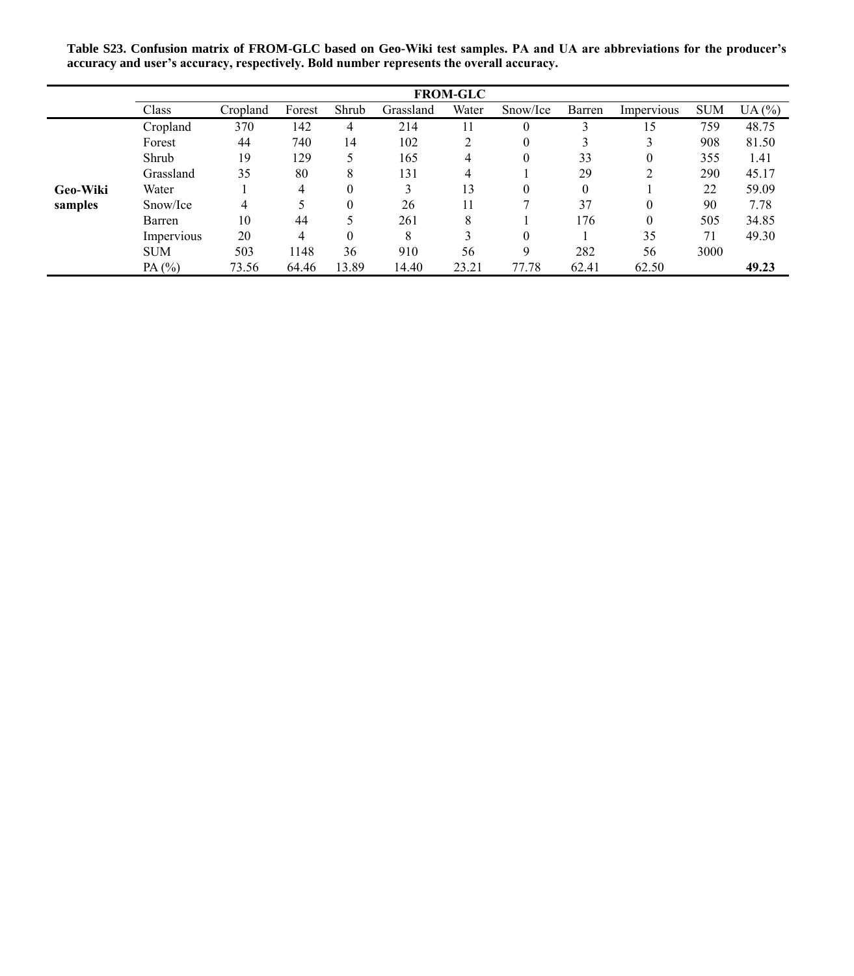**Table S23. Confusion matrix of FROM-GLC based on Geo-Wiki test samples. PA and UA are abbreviations for the producer's accuracy and user's accuracy, respectively. Bold number represents the overall accuracy.**

|                 | <b>FROM-GLC</b> |          |                |          |           |       |          |          |            |            |       |  |  |
|-----------------|-----------------|----------|----------------|----------|-----------|-------|----------|----------|------------|------------|-------|--|--|
|                 | Class           | Cropland | Forest         | Shrub    | Grassland | Water | Snow/Ice | Barren   | Impervious | <b>SUM</b> | UA(%) |  |  |
|                 | Cropland        | 370      | 142            | 4        | 214       | 11    | 0        |          | 15         | 759        | 48.75 |  |  |
|                 | Forest          | 44       | 740            | 14       | 102       | 2     | 0        |          |            | 908        | 81.50 |  |  |
|                 | Shrub           | 19       | 129            | 5        | 165       | 4     | 0        | 33       | $\theta$   | 355        | 1.41  |  |  |
|                 | Grassland       | 35       | 80             | 8        | 131       | 4     |          | 29       |            | 290        | 45.17 |  |  |
| <b>Geo-Wiki</b> | Water           |          | $\overline{4}$ | $\Omega$ | 3         | 13    | 0        | $\theta$ |            | 22         | 59.09 |  |  |
| samples         | Snow/Ice        | 4        |                | $\theta$ | 26        | 11    |          | 37       | $\theta$   | 90         | 7.78  |  |  |
|                 | Barren          | 10       | 44             | 5        | 261       | 8     |          | 176      | $\theta$   | 505        | 34.85 |  |  |
|                 | Impervious      | 20       | 4              | $\Omega$ | 8         | 3     |          |          | 35         | 71         | 49.30 |  |  |
|                 | <b>SUM</b>      | 503      | 1148           | 36       | 910       | 56    | Q        | 282      | 56         | 3000       |       |  |  |
|                 | PA $(%)$        | 73.56    | 64.46          | 13.89    | 14.40     | 23.21 | 77.78    | 62.41    | 62.50      |            | 49.23 |  |  |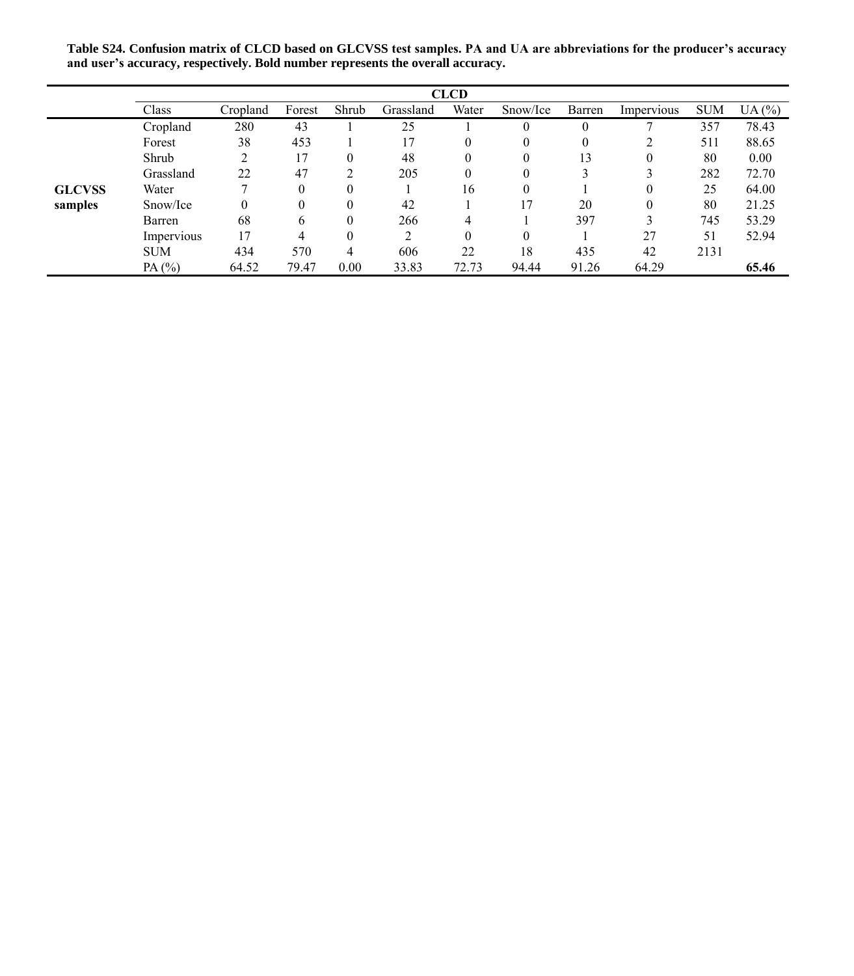**Table S24. Confusion matrix of CLCD based on GLCVSS test samples. PA and UA are abbreviations for the producer's accuracy and user's accuracy, respectively. Bold number represents the overall accuracy.**

|               | <b>CLCD</b> |          |          |          |                |       |          |          |            |            |       |
|---------------|-------------|----------|----------|----------|----------------|-------|----------|----------|------------|------------|-------|
|               | Class       | Cropland | Forest   | Shrub    | Grassland      | Water | Snow/Ice | Barren   | Impervious | <b>SUM</b> | UA(%) |
|               | Cropland    | 280      | 43       |          | 25             |       | $\theta$ | $\theta$ |            | 357        | 78.43 |
|               | Forest      | 38       | 453      |          | 17             | 0     | 0        | 0        |            | 511        | 88.65 |
|               | Shrub       | 2        | 17       | 0        | 48             | 0     | 0        | 13       | 0          | 80         | 0.00  |
|               | Grassland   | 22       | 47       |          | 205            | 0     | 0        |          |            | 282        | 72.70 |
| <b>GLCVSS</b> | Water       |          | $\theta$ | $\theta$ |                | 16    | $\theta$ |          |            | 25         | 64.00 |
| samples       | Snow/Ice    | $\Omega$ | $\theta$ | 0        | 42             |       | 17       | 20       |            | 80         | 21.25 |
|               | Barren      | 68       | 6        | 0        | 266            | 4     |          | 397      |            | 745        | 53.29 |
|               | Impervious  | 17       | 4        | 0        | $\mathfrak{D}$ | 0     | 0        |          | 27         | 51         | 52.94 |
|               | <b>SUM</b>  | 434      | 570      | 4        | 606            | 22    | 18       | 435      | 42         | 2131       |       |
|               | PA $(%)$    | 64.52    | 79.47    | 0.00     | 33.83          | 72.73 | 94.44    | 91.26    | 64.29      |            | 65.46 |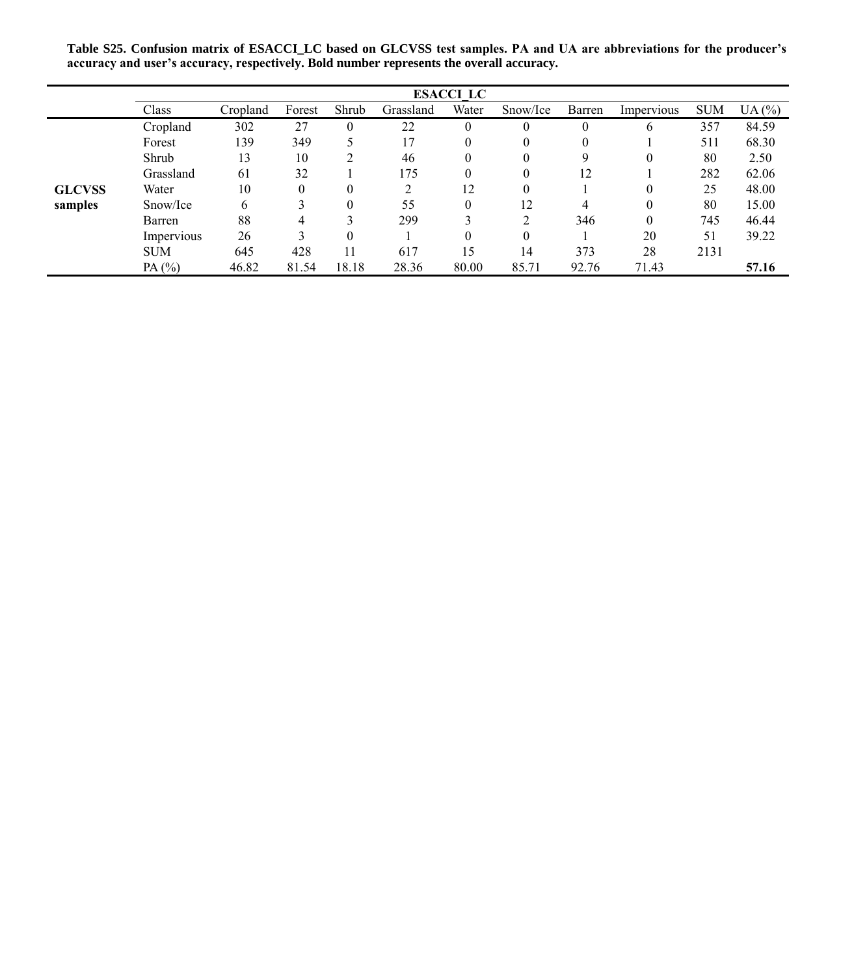**Table S25. Confusion matrix of ESACCI\_LC based on GLCVSS test samples. PA and UA are abbreviations for the producer's accuracy and user's accuracy, respectively. Bold number represents the overall accuracy.**

|               | <b>ESACCI LC</b> |          |          |          |           |          |                |              |              |            |       |
|---------------|------------------|----------|----------|----------|-----------|----------|----------------|--------------|--------------|------------|-------|
|               | Class            | Cropland | Forest   | Shrub    | Grassland | Water    | Snow/Ice       | Barren       | Impervious   | <b>SUM</b> | UA(%) |
|               | Cropland         | 302      | 27       | $\theta$ | 22        | $\theta$ | $\Omega$       | $\mathbf{0}$ | <sub>0</sub> | 357        | 84.59 |
|               | Forest           | 139      | 349      |          | 17        | 0        |                | $\theta$     |              | 511        | 68.30 |
|               | Shrub            | 13       | 10       |          | 46        | 0        | $\theta$       | 9            | 0            | 80         | 2.50  |
|               | Grassland        | 61       | 32       |          | 175       | 0        | $\theta$       | 12           |              | 282        | 62.06 |
| <b>GLCVSS</b> | Water            | 10       | $\theta$ | $\Omega$ | 2         | 12       | $\theta$       |              |              | 25         | 48.00 |
| samples       | Snow/Ice         | 6        |          | $\theta$ | 55        | $\Omega$ | 12             | 4            |              | 80         | 15.00 |
|               | Barren           | 88       | 4        |          | 299       |          | $\mathfrak{D}$ | 346          | $\Omega$     | 745        | 46.44 |
|               | Impervious       | 26       |          | $\Omega$ |           | 0        | $\theta$       |              | 20           | 51         | 39.22 |
|               | <b>SUM</b>       | 645      | 428      | 11       | 617       | 15       | 14             | 373          | 28           | 2131       |       |
|               | PA $(%)$         | 46.82    | 81.54    | 18.18    | 28.36     | 80.00    | 85.71          | 92.76        | 71.43        |            | 57.16 |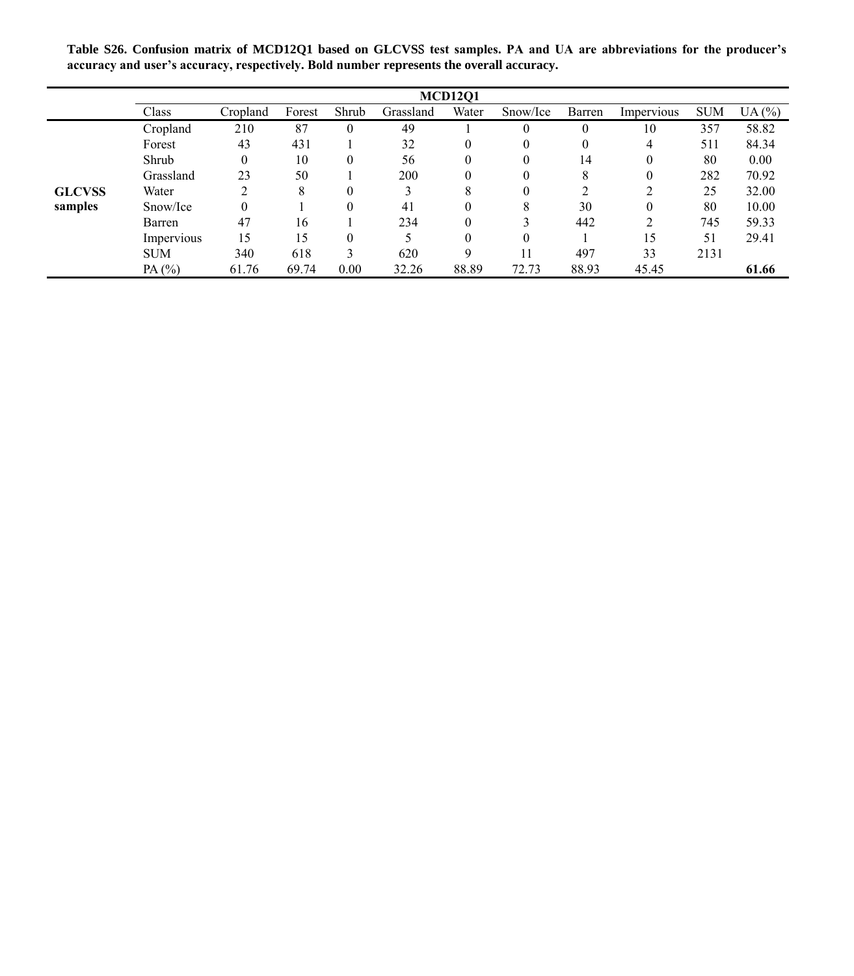**Table S26. Confusion matrix of MCD12Q1 based on GLCVS**S **test samples. PA and UA are abbreviations for the producer's accuracy and user's accuracy, respectively. Bold number represents the overall accuracy.**

|               | <b>MCD12O1</b> |          |        |          |           |          |          |        |            |            |       |
|---------------|----------------|----------|--------|----------|-----------|----------|----------|--------|------------|------------|-------|
|               | Class          | Cropland | Forest | Shrub    | Grassland | Water    | Snow/Ice | Barren | Impervious | <b>SUM</b> | UA(%) |
|               | Cropland       | 210      | 87     | $\theta$ | 49        |          | $\theta$ |        | 10         | 357        | 58.82 |
|               | Forest         | 43       | 431    |          | 32        | $\theta$ | 0        |        | 4          | 511        | 84.34 |
|               | Shrub          | 0        | 10     | $\Omega$ | 56        |          | 0        | 14     |            | 80         | 0.00  |
|               | Grassland      | 23       | 50     |          | 200       |          | 0        | 8      |            | 282        | 70.92 |
| <b>GLCVSS</b> | Water          | ↑        | 8      | $\theta$ | 3         | 8        | 0        |        |            | 25         | 32.00 |
| samples       | Snow/Ice       |          |        | $\theta$ | 41        |          | 8        | 30     |            | 80         | 10.00 |
|               | Barren         | 47       | 16     |          | 234       |          |          | 442    |            | 745        | 59.33 |
|               | Impervious     | 15       | 15     | $\theta$ |           |          | 0        |        | 15         | 51         | 29.41 |
|               | <b>SUM</b>     | 340      | 618    | 3        | 620       | q        | 11       | 497    | 33         | 2131       |       |
|               | PA $(%)$       | 61.76    | 69.74  | 0.00     | 32.26     | 88.89    | 72.73    | 88.93  | 45.45      |            | 61.66 |